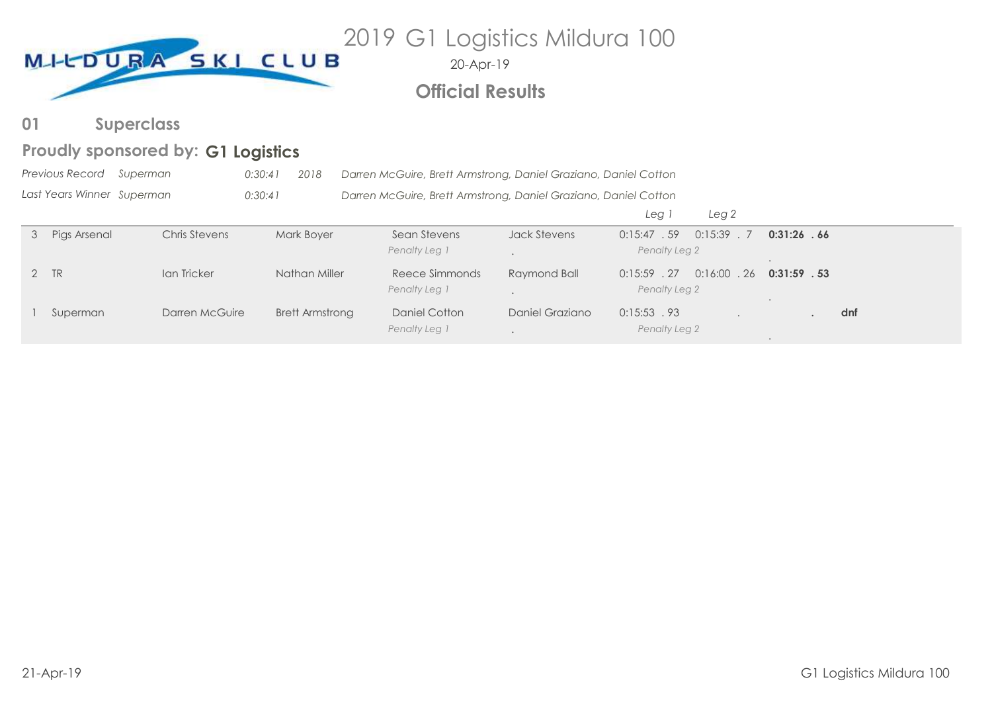

# **Official Results**

**Superclass 01**

# Proudly sponsored by: G1 Logistics

|   | <b>Previous Record</b>     | Superman       | 2018<br>0:30:41        | Darren McGuire, Brett Armstrong, Daniel Graziano, Daniel Cotton |                 |                |                     |                |     |
|---|----------------------------|----------------|------------------------|-----------------------------------------------------------------|-----------------|----------------|---------------------|----------------|-----|
|   | Last Years Winner Superman |                | 0:30:41                | Darren McGuire, Brett Armstrong, Daniel Graziano, Daniel Cotton |                 |                |                     |                |     |
|   |                            |                |                        |                                                                 |                 | Leg i          | Leg <sub>2</sub>    |                |     |
| 3 | Pigs Arsenal               | Chris Stevens  | Mark Boyer             | Sean Stevens                                                    | Jack Stevens    | 0:15:47.59     | 0:15:39<br>$\sim$ 7 | 0:31:26.66     |     |
|   |                            |                |                        | Penalty Leg 1                                                   |                 | Penalty Leg 2  |                     |                |     |
|   | 2 TR                       | Ian Tricker    | Nathan Miller          | Reece Simmonds                                                  | Raymond Ball    | $0:15:59$ . 27 | $0:16:00$ . 26      | $0:31:59$ . 53 |     |
|   |                            |                |                        | Penalty Leg 1                                                   |                 | Penalty Leg 2  |                     |                |     |
|   | Superman                   | Darren McGuire | <b>Brett Armstrong</b> | Daniel Cotton                                                   | Daniel Graziano | $0:15:53$ .93  |                     |                | dnf |
|   |                            |                |                        | Penalty Leg 1                                                   |                 | Penalty Leg 2  |                     |                |     |

.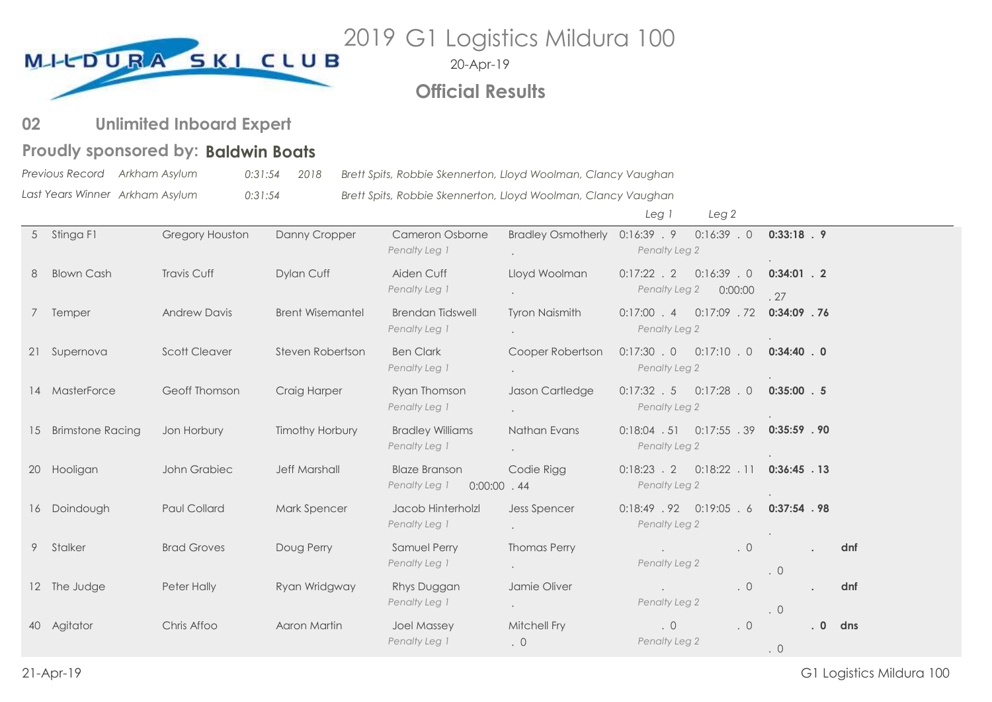

20-Apr-19

# **Official Results**

#### **Unlimited Inboard Expert 02**

# Proudly sponsored by: Baldwin Boats

*Previous Record Last Years Winner Arkham Asylum 0:31:54 2018 Brett Spits, Robbie Skennerton, Lloyd Woolman, Clancy Vaughan Arkham Asylum 0:31:54 Brett Spits, Robbie Skennerton, Lloyd Woolman, Clancy Vaughan*

*Leg 1 Leg 2*

|    | 5 Stinga F1       | Gregory Houston      | Danny Cropper           | Cameron Osborne<br>Penalty Leg 1                       |                           | Bradley Osmotherly 0:16:39 . 9 0:16:39 . 0 0:33:18 . 9<br>Penalty Leg 2 |                      |    |     |
|----|-------------------|----------------------|-------------------------|--------------------------------------------------------|---------------------------|-------------------------------------------------------------------------|----------------------|----|-----|
| 8  | <b>Blown Cash</b> | <b>Travis Cuff</b>   | Dylan Cuff              | Aiden Cuff<br>Penalty Leg 1                            | Lloyd Woolman             | $0:17:22$ . 2<br>$0:16:39$ . 0<br>Penalty Leg 2<br>0:00:00              | $0:34:01$ . 2<br>.27 |    |     |
|    | 7 Temper          | <b>Andrew Davis</b>  | <b>Brent Wisemantel</b> | <b>Brendan Tidswell</b><br>Penalty Leg 1               | <b>Tyron Naismith</b>     | $0:17:00$ . 4<br>$0:17:09$ . 72<br>Penalty Leg 2                        | $0:34:09$ . 76       |    |     |
|    | 21 Supernova      | <b>Scott Cleaver</b> | Steven Robertson        | <b>Ben Clark</b><br>Penalty Leg 1                      | Cooper Robertson          | $0:17:30$ . 0<br>$0:17:10$ , 0<br>Penalty Leg 2                         | $0:34:40$ . 0        |    |     |
|    | 14 MasterForce    | Geoff Thomson        | Craig Harper            | Ryan Thomson<br>Penalty Leg 1                          | Jason Cartledge           | $0:17:32$ $5$ $0:17:28$ $0$<br>Penalty Leg 2                            | $0:35:00$ . 5        |    |     |
| 15 | Brimstone Racing  | Jon Horbury          | <b>Timothy Horbury</b>  | <b>Bradley Williams</b><br>Penalty Leg 1               | Nathan Evans              | $0:18:04$ . 51 $0:17:55$ . 39<br>Penalty Leg 2                          | $0:35:59$ . 90       |    |     |
|    | 20 Hooligan       | John Grabiec         | <b>Jeff Marshall</b>    | <b>Blaze Branson</b><br>Penalty Leg 1<br>$0:00:00$ .44 | Codie Rigg                | $0:18:22$ . 11 0:36:45 . 13<br>$0:18:23$ . 2<br>Penalty Leg 2           |                      |    |     |
|    | 16 Doindough      | Paul Collard         | Mark Spencer            | Jacob Hinterholzl<br>Penalty Leg 1                     | <b>Jess Spencer</b>       | $0:18:49$ . 92 $0:19:05$ . 6 0:37:54 . 98<br>Penalty Leg 2              |                      |    |     |
|    | 9 Stalker         | <b>Brad Groves</b>   | Doug Perry              | Samuel Perry<br>Penalty Leg 1                          | <b>Thomas Perry</b>       | $\cdot$ 0<br>Penalty Leg 2                                              | .0                   |    | dnf |
|    | 12 The Judge      | Peter Hally          | Ryan Wridgway           | Rhys Duggan<br>Penalty Leg 1                           | Jamie Oliver              | $\cdot$ 0<br>Penalty Leg 2                                              | .0                   |    | dnf |
|    | 40 Agitator       | Chris Affoo          | Aaron Martin            | <b>Joel Massey</b><br>Penalty Leg 1                    | Mitchell Fry<br>$\cdot$ 0 | .0<br>. $\circ$<br>Penalty Leg 2                                        | .0                   | .0 | dns |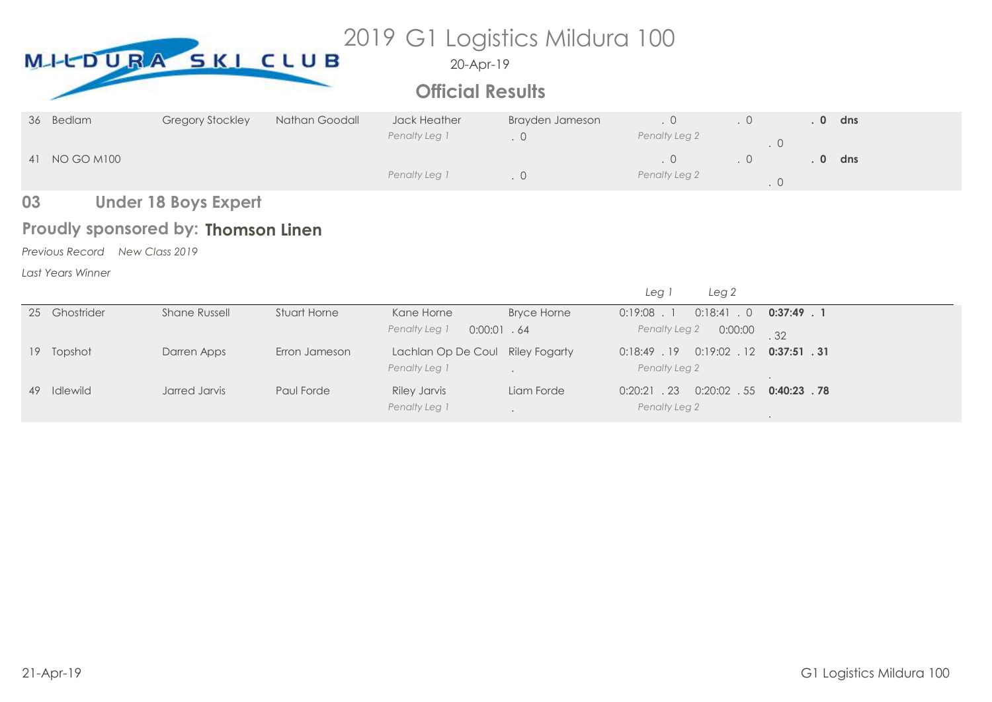# MI-LDURA SKI CLUB<sup>2019</sup> G1 Logistics Mildura 100

20-Apr-19

# **Official Results**

| 36 Bedlam     | <b>Gregory Stockley</b> | Nathan Goodall | <b>Jack Heather</b><br>Penalty Leg 1 | Brayden Jameson | Penalty Leg 2 | $\cdot$ 0 | $\Omega$ | dns |
|---------------|-------------------------|----------------|--------------------------------------|-----------------|---------------|-----------|----------|-----|
| 41 NO GO M100 |                         |                | Penalty Leg 1                        |                 | Penalty Leg 2 | . 0       |          | dns |

#### **Under 18 Boys Expert 03**

# Proudly sponsored by: Thomson Linen

*Previous Record New Class 2019*

*Last Years Winner*

|                 |             |               |               |                                  |                    | Leg <sub>2</sub><br>Leg          |                |
|-----------------|-------------|---------------|---------------|----------------------------------|--------------------|----------------------------------|----------------|
| 25              | Ghostrider  | Shane Russell | Stuart Horne  | Kane Horne                       | <b>Bryce Horne</b> | $0:18:41$ . 0<br>$0:19:08$ . 1   | $0:37:49$ . 1  |
|                 |             |               |               | Penalty Leg 1<br>$0:00:01$ . 64  |                    | Penalty Leg 2<br>0:00:00         | .32            |
| 19 <sup>°</sup> | Topshot     | Darren Apps   | Erron Jameson | Lachlan Op De Coul Riley Fogarty |                    | $0:19:02$ . 12<br>$0:18:49$ . 19 | $0:37:51$ . 31 |
|                 |             |               |               | Penalty Leg 1                    |                    | Penalty Leg 2                    |                |
|                 | 49 Idlewild | Jarred Jarvis | Paul Forde    | <b>Riley Jarvis</b>              | Liam Forde         | $0:20:02$ . 55<br>$0:20:21$ . 23 | $0:40:23$ .78  |
|                 |             |               |               | Penalty Leg 1                    |                    | Penalty Leg 2                    |                |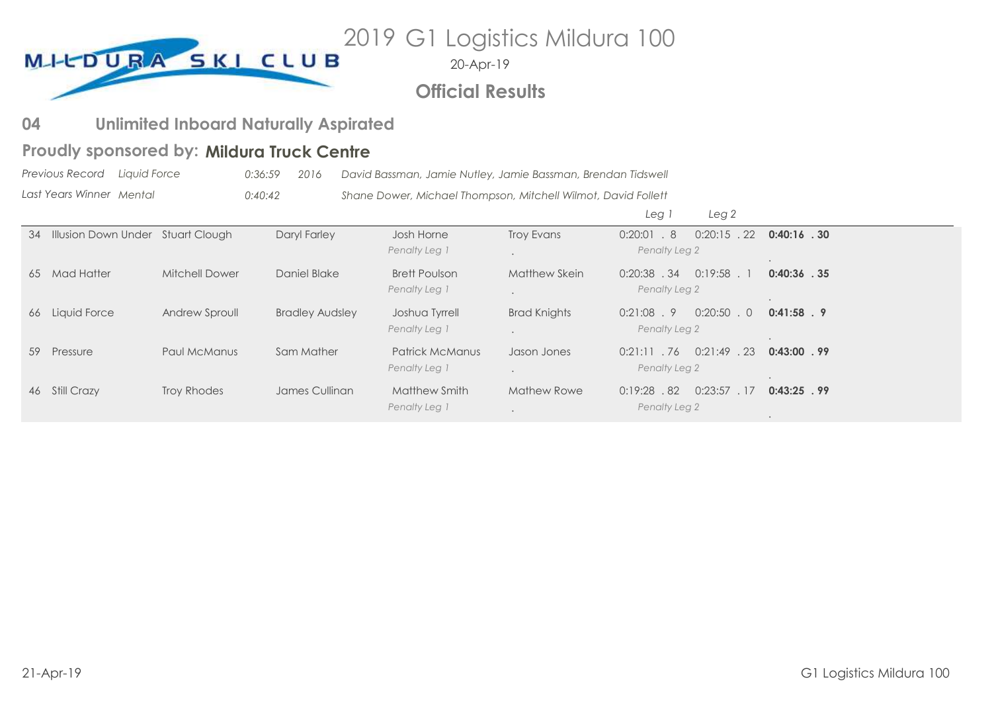2019 G1 Logistics Mildura 100 MILDURA SKI CLUB

20-Apr-19

# **Official Results**

#### **Unlimited Inboard Naturally Aspirated 04**

# Proudly sponsored by: Mildura Truck Centre

*Previous Record Last Years Winner Liquid Force 0:36:59 2016 David Bassman, Jamie Nutley, Jamie Bassman, Brendan Tidswell Mental 0:40:42 Shane Dower, Michael Thompson, Mitchell Wilmot, David Follett*

|    |                                      |                       |                        |                                         |                     | Leg <sup>'</sup><br>Leg <sub>2</sub>              |                |
|----|--------------------------------------|-----------------------|------------------------|-----------------------------------------|---------------------|---------------------------------------------------|----------------|
|    | 34 Illusion Down Under Stuart Clough |                       | Daryl Farley           | Josh Horne<br>Penalty Leg 1             | <b>Troy Evans</b>   | $0:20:01$ . 8<br>$0:20:15$ . 22<br>Penalty Leg 2  | $0:40:16$ . 30 |
| 65 | Mad Hatter                           | <b>Mitchell Dower</b> | Daniel Blake           | <b>Brett Poulson</b><br>Penalty Leg 1   | Matthew Skein       | $0:19:58$ .<br>$0:20:38$ . 34<br>Penalty Leg 2    | $0:40:36$ . 35 |
|    | 66 Liquid Force                      | Andrew Sproull        | <b>Bradley Audsley</b> | Joshua Tyrrell<br>Penalty Leg 1         | <b>Brad Knights</b> | $0:21:08$ . 9<br>$0:20:50$ . 0<br>Penalty Leg 2   | $0:41:58$ . 9  |
| 59 | Pressure                             | Paul McManus          | Sam Mather             | <b>Patrick McManus</b><br>Penalty Leg 1 | Jason Jones         | $0:21:49$ . 23<br>$0:21:11$ . 76<br>Penalty Leg 2 | $0:43:00$ . 99 |
|    | 46 Still Crazy                       | Troy Rhodes           | James Cullinan         | Matthew Smith<br>Penalty Leg 1          | <b>Mathew Rowe</b>  | 0:23:57<br>.82<br>.17<br>0:19:28<br>Penalty Leg 2 | $0:43:25$ . 99 |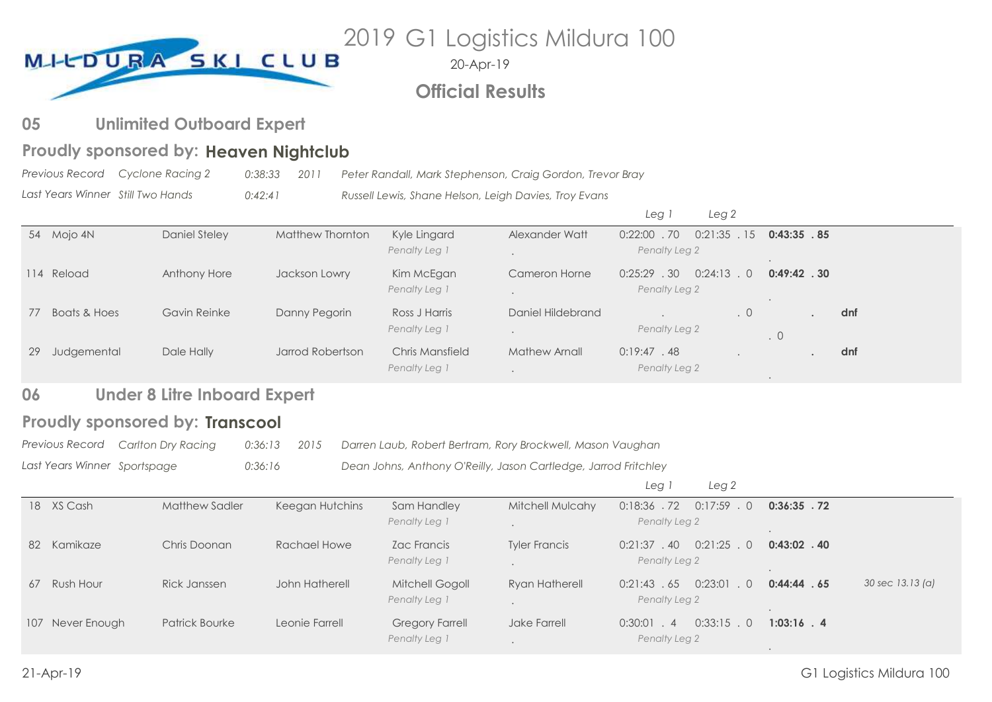

20-Apr-19

# **Official Results**

#### **Unlimited Outboard Expert 05**

# Proudly sponsored by: Heaven Nightclub

*Previous Record Last Years Winner Cyclone Racing 2 0:38:33 2011 Peter Randall, Mark Stephenson, Craig Gordon, Trevor Bray Still Two Hands 0:42:41 Russell Lewis, Shane Helson, Leigh Davies, Troy Evans*

|    |              |               |                  |                 |                   | Leg <sup>-</sup> | Leg 2                 |                |     |
|----|--------------|---------------|------------------|-----------------|-------------------|------------------|-----------------------|----------------|-----|
|    | 54 Mojo 4N   | Daniel Steley | Matthew Thornton | Kyle Lingard    | Alexander Watt    | $0:22:00$ .70    | $0:21:35$ . 15        | 0:43:35.85     |     |
|    |              |               |                  | Penalty Leg 1   |                   | Penalty Leg 2    |                       |                |     |
|    | 114 Reload   | Anthony Hore  | Jackson Lowry    | Kim McEgan      | Cameron Horne     | $0:25:29$ . 30   | 0:24:13<br>$\bigcirc$ | $0:49:42$ . 30 |     |
|    |              |               |                  | Penalty Leg 1   |                   | Penalty Leg 2    |                       |                |     |
| 77 | Boats & Hoes | Gavin Reinke  | Danny Pegorin    | Ross J Harris   | Daniel Hildebrand |                  | .0                    |                | dnf |
|    |              |               |                  | Penalty Leg 1   |                   | Penalty Leg 2    |                       | $\cdot$ 0      |     |
| 29 | Judgemental  | Dale Hally    | Jarrod Robertson | Chris Mansfield | Mathew Arnall     | 0:19:47.48       |                       |                | dnf |
|    |              |               |                  | Penalty Leg 1   |                   | Penalty Leg 2    |                       |                |     |

#### **Under 8 Litre Inboard Expert 06**

# **Proudly sponsored by: Transcool**

*Previous Record Carlton Dry Racing 0:36:13 2015 Darren Laub, Robert Bertram, Rory Brockwell, Mason Vaughan*

*Last Years Winner Sportspage 0:36:16 Dean Johns, Anthony O'Reilly, Jason Cartledge, Jarrod Fritchley*

|    |                  |                       |                 |                                         |                         | Leg<br>Leg <sub>2</sub>                                  |                |                  |
|----|------------------|-----------------------|-----------------|-----------------------------------------|-------------------------|----------------------------------------------------------|----------------|------------------|
|    | 18 XS Cash       | <b>Matthew Sadler</b> | Keegan Hutchins | Sam Handley<br>Penalty Leg 1            | <b>Mitchell Mulcahy</b> | 0:17:59<br>$0:18:36$ . 72<br>$\bigcirc$<br>Penalty Leg 2 | $0:36:35$ . 72 |                  |
| 82 | Kamikaze         | Chris Doonan          | Rachael Howe    | Zac Francis<br>Penalty Leg 1            | <b>Tyler Francis</b>    | $0:21:25$ . 0<br>$0:21:37$ . 40<br>Penalty Leg 2         | $0:43:02$ . 40 |                  |
| 67 | Rush Hour        | Rick Janssen          | John Hatherell  | <b>Mitchell Gogoll</b><br>Penalty Leg 1 | <b>Ryan Hatherell</b>   | 0:23:01<br>0:21:43.65<br>Penalty Leg 2                   | 0:44:44.65     | 30 sec 13.13 (a) |
|    | 107 Never Enough | <b>Patrick Bourke</b> | Leonie Farrell  | <b>Gregory Farrell</b><br>Penalty Leg 1 | Jake Farrell            | $0:33:15$ . 0<br>$0:30:01$ . 4<br>Penalty Leg 2          | $1:03:16$ . 4  |                  |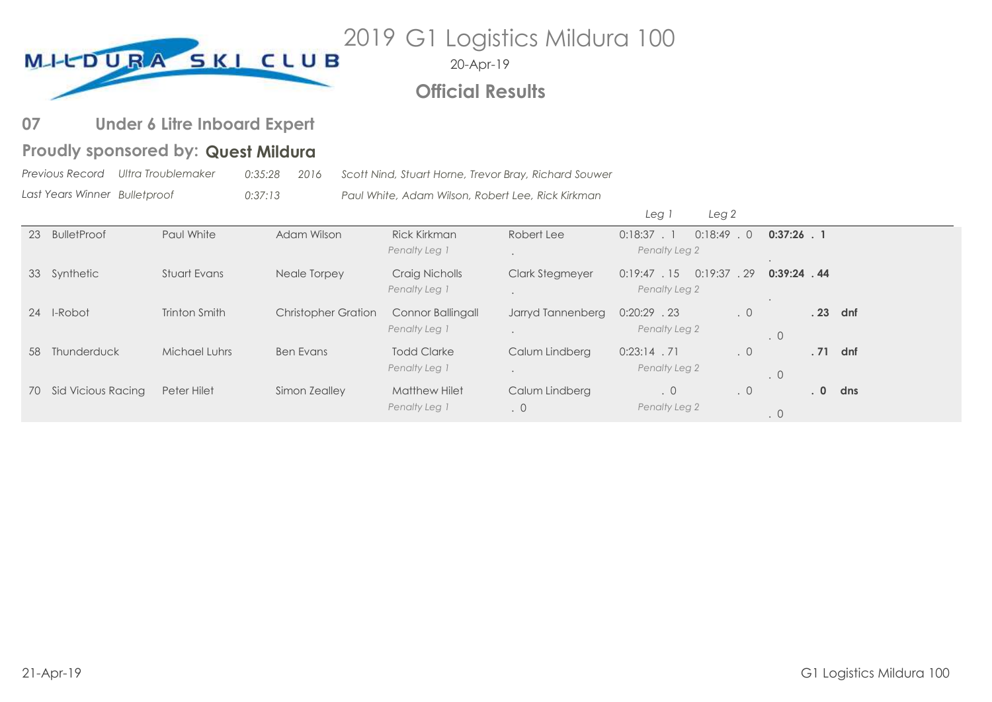

20-Apr-19

# **Official Results**

#### **Under 6 Litre Inboard Expert 07**

# Proudly sponsored by: Quest Mildura

*Previous Record Last Years Winner Ultra Troublemaker 0:35:28 2016 Scott Nind, Stuart Horne, Trevor Bray, Richard Souwer Bulletproof 0:37:13 Paul White, Adam Wilson, Robert Lee, Rick Kirkman*

|    |                       |               |                            |                                       |                             | Leg <sub>2</sub><br>Leg                         |           |                  |     |
|----|-----------------------|---------------|----------------------------|---------------------------------------|-----------------------------|-------------------------------------------------|-----------|------------------|-----|
| 23 | <b>BulletProof</b>    | Paul White    | Adam Wilson                | <b>Rick Kirkman</b><br>Penalty Leg 1  | Robert Lee                  | $0:18:49$ . 0<br>$0:18:37$ . 1<br>Penalty Leg 2 |           | $0:37:26$ . 1    |     |
|    | 33 Synthetic          | Stuart Evans  | Neale Torpey               | Craig Nicholls<br>Penalty Leg 1       | <b>Clark Stegmeyer</b>      | 0:19:37<br>0:19:47.15<br>Penalty Leg 2          | .29       | $0:39:24$ . 44   |     |
| 24 | I-Robot               | Trinton Smith | <b>Christopher Gration</b> | Connor Ballingall<br>Penalty Leg 1    | Jarryd Tannenberg           | $0:20:29$ . 23<br>Penalty Leg 2                 | $\cdot$ 0 | .23<br>$\cdot$ 0 | dnf |
| 58 | Thunderduck           | Michael Luhrs | <b>Ben Evans</b>           | <b>Todd Clarke</b><br>Penalty Leg 1   | Calum Lindberg              | $0:23:14$ . 71<br>Penalty Leg 2                 | $\cdot$ 0 | .71<br>$\cdot$ 0 | dnf |
|    | 70 Sid Vicious Racing | Peter Hilet   | Simon Zealley              | <b>Matthew Hilet</b><br>Penalty Leg 1 | Calum Lindberg<br>$\cdot$ 0 | $\cdot$ 0<br>Penalty Leg 2                      | $\cdot$ 0 | .0<br>$\cdot$ 0  | dns |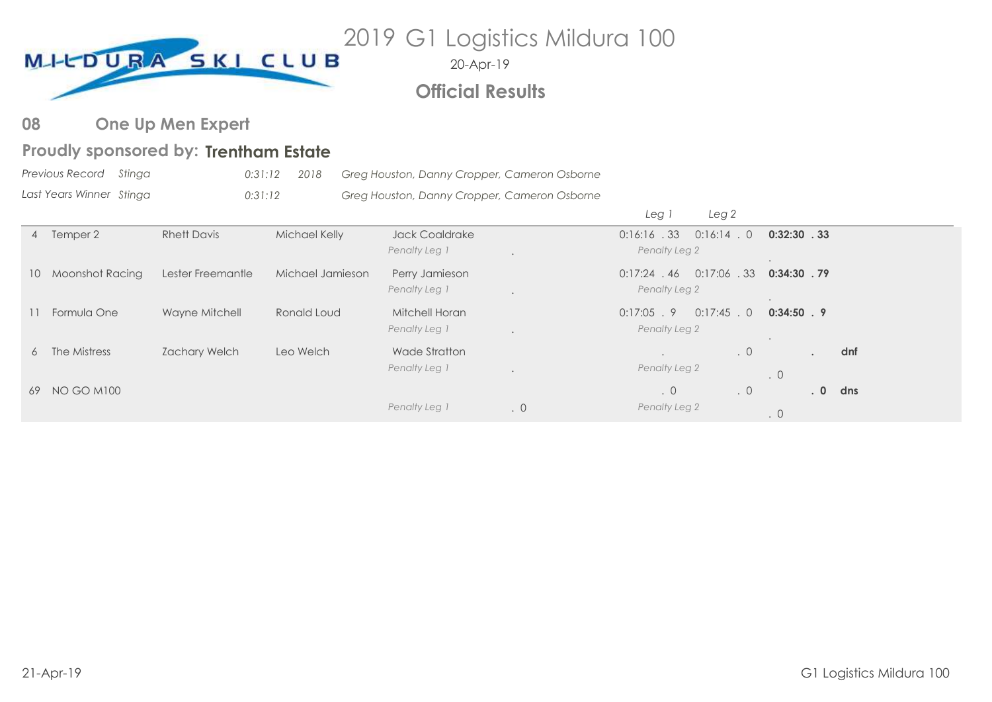

# **Official Results**

#### **One Up Men Expert 08**

# Proudly sponsored by: Trentham Estate

| Previous Record Stinga   | 0:31:12 2018 | Greg Houston, Danny Cropper, Cameron Osborne |
|--------------------------|--------------|----------------------------------------------|
| Last Years Winner Stinga | 0:31:12      | Greg Houston, Danny Cropper, Cameron Osborne |

|                    |                    |                  |                                        |           | Leg                             | Leg 2          |                 |     |
|--------------------|--------------------|------------------|----------------------------------------|-----------|---------------------------------|----------------|-----------------|-----|
| 4 Temper 2         | <b>Rhett Davis</b> | Michael Kelly    | <b>Jack Coaldrake</b><br>Penalty Leg 1 |           | 0:16:16.33<br>Penalty Leg 2     | $0:16:14$ . 0  | 0:32:30.33      |     |
| 10 Moonshot Racing | Lester Freemantle  | Michael Jamieson | Perry Jamieson<br>Penalty Leg 1        |           | $0:17:24$ . 46<br>Penalty Leg 2 | $0:17:06$ . 33 | 0:34:30.79      |     |
| 11 Formula One     | Wayne Mitchell     | Ronald Loud      | Mitchell Horan<br>Penalty Leg 1        |           | $0:17:05$ . 9<br>Penalty Leg 2  | $0:17:45$ . 0  | $0:34:50$ . 9   |     |
| 6 The Mistress     | Zachary Welch      | Leo Welch        | Wade Stratton<br>Penalty Leg 1         |           | Penalty Leg 2                   | $\cdot$ 0      | $\cdot$ 0       | dnf |
| 69 NO GO M100      |                    |                  |                                        |           | .0                              | $\cdot$ 0      | .0 <sub>1</sub> | dns |
|                    |                    |                  | Penalty Leg 1                          | $\cdot$ 0 | Penalty Leg 2                   |                | $\cdot$ 0       |     |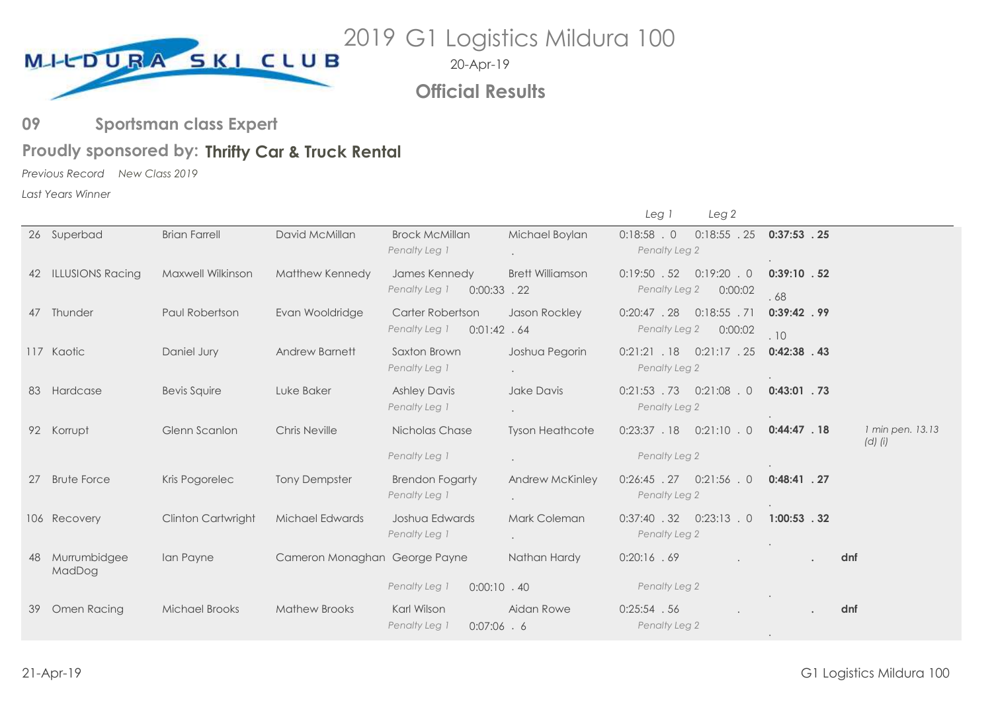

**Official Results**

#### **Sportsman class Expert 09**

# Proudly sponsored by: Thrifty Car & Truck Rental

*Previous Record New Class 2019*

*Last Years Winner*

|    |                         |                          |                               |                                                  |                                         | Leg 1                           | Leg <sub>2</sub>               |                       |                                 |
|----|-------------------------|--------------------------|-------------------------------|--------------------------------------------------|-----------------------------------------|---------------------------------|--------------------------------|-----------------------|---------------------------------|
|    | 26 Superbad             | <b>Brian Farrell</b>     | David McMillan                | <b>Brock McMillan</b><br>Penalty Leg 1           | Michael Boylan                          | $0:18:58$ . 0<br>Penalty Leg 2  | $0:18:55$ . 25                 | $0:37:53$ . 25        |                                 |
| 42 | <b>ILLUSIONS Racing</b> | <b>Maxwell Wilkinson</b> | Matthew Kennedy               | James Kennedy<br>Penalty Leg 1<br>$0:00:33$ . 22 | <b>Brett Williamson</b>                 | $0:19:50$ . 52<br>Penalty Leg 2 | $0:19:20$ . 0<br>0:00:02       | $0:39:10$ . 52<br>.68 |                                 |
|    | 47 Thunder              | Paul Robertson           | Evan Wooldridge               | Carter Robertson<br>0:01:42.64<br>Penalty Leg 1  | Jason Rockley                           | $0:20:47$ . 28<br>Penalty Leg 2 | $0:18:55$ .71<br>0:00:02       | $0:39:42$ . 99<br>.10 |                                 |
|    | 117 Kaotic              | Daniel Jury              | Andrew Barnett                | Saxton Brown<br>Penalty Leg 1                    | Joshua Pegorin                          | 0:21:21.18<br>Penalty Leg 2     | $0:21:17$ . 25                 | $0:42:38$ . 43        |                                 |
|    | 83 Hardcase             | Bevis Squire             | Luke Baker                    | <b>Ashley Davis</b><br>Penalty Leg 1             | Jake Davis                              | Penalty Leg 2                   | $0:21:53$ $.73$ $0:21:08$ $.0$ | $0:43:01$ . 73        |                                 |
|    | 92 Korrupt              | Glenn Scanlon            | <b>Chris Neville</b>          | Nicholas Chase<br>Penalty Leg 1                  | <b>Tyson Heathcote</b>                  | 0:23:37.18                      | $0:21:10$ . 0                  | 0:44:47.18            | 1 min pen. 13.13<br>$(d)$ $(i)$ |
|    |                         |                          |                               |                                                  |                                         | Penalty Leg 2                   |                                |                       |                                 |
| 27 | <b>Brute Force</b>      | Kris Pogorelec           | <b>Tony Dempster</b>          | <b>Brendon Fogarty</b><br>Penalty Leg 1          | Andrew McKinley<br>$\ddot{\phantom{0}}$ | Penalty Leg 2                   | $0:26:45$ $.27$ $0:21:56$ $.0$ | $0:48:41$ . 27        |                                 |
|    | 106 Recovery            | Clinton Cartwright       | Michael Edwards               | Joshua Edwards<br>Penalty Leg 1                  | Mark Coleman                            | Penalty Leg 2                   | $0:37:40$ $.32$ $0:23:13$ $.0$ | $1:00:53$ . 32        |                                 |
|    | Murrumbidgee<br>MadDog  | Ian Payne                | Cameron Monaghan George Payne |                                                  | Nathan Hardy                            | 0:20:16 .69                     |                                |                       | dnf                             |
|    |                         |                          |                               | Penalty Leg 1<br>$0:00:10$ .40                   |                                         | Penalty Leg 2                   |                                |                       |                                 |
| 39 | Omen Racing             | <b>Michael Brooks</b>    | <b>Mathew Brooks</b>          | Karl Wilson<br>Penalty Leg 1<br>$0:07:06$ . 6    | Aidan Rowe                              | $0:25:54$ . 56<br>Penalty Leg 2 |                                |                       | dnf                             |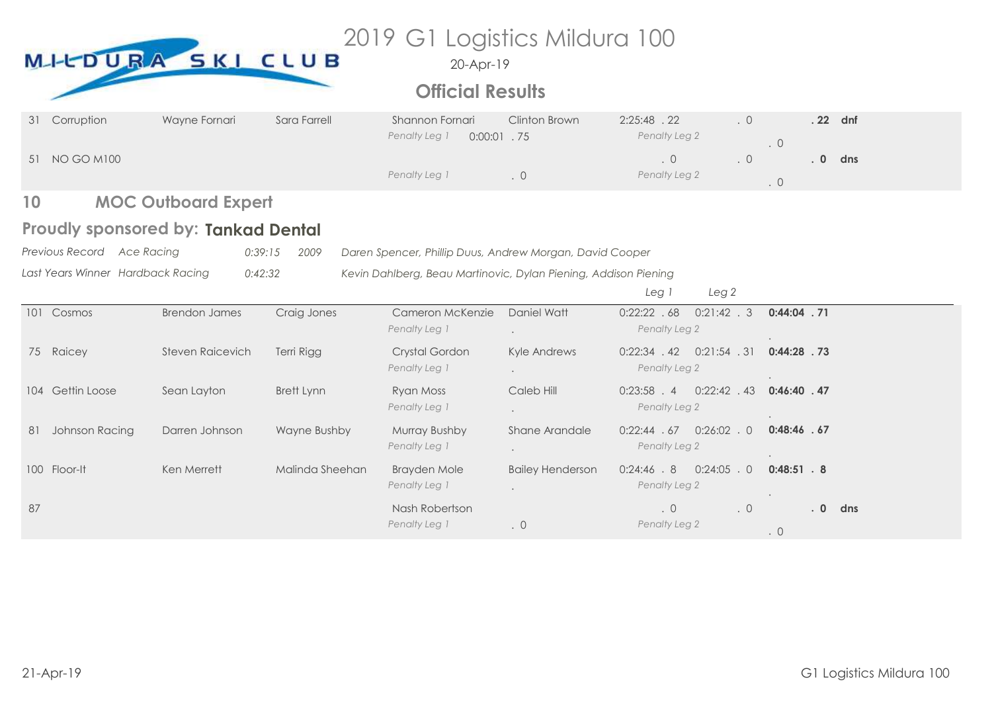|    |                                   | MICDURA SKI CLUB                    |                 | 2019 G1 Logistics Mildura 100<br>20-Apr-19<br><b>Official Results</b> |                         |                                                   |                        |
|----|-----------------------------------|-------------------------------------|-----------------|-----------------------------------------------------------------------|-------------------------|---------------------------------------------------|------------------------|
| 31 | Corruption                        | Wayne Fornari                       | Sara Farrell    | Shannon Fornari<br>Penalty Leg 1<br>$0:00:01$ . 75                    | Clinton Brown           | 2:25:48.22<br>$\cdot$ 0<br>Penalty Leg 2          | . 22 dnf<br>.0         |
|    | 51 NO GO M100                     |                                     |                 | Penalty Leg 1                                                         | $\cdot$ 0               | $\cdot$ 0<br>$\cdot$ 0<br>Penalty Leg 2           | .0<br>dns<br>$\cdot$ 0 |
| 10 |                                   | <b>MOC Outboard Expert</b>          |                 |                                                                       |                         |                                                   |                        |
|    |                                   | Proudly sponsored by: Tankad Dental |                 |                                                                       |                         |                                                   |                        |
|    | Previous Record Ace Racing        | 0:39:15                             | 2009            | Daren Spencer, Phillip Duus, Andrew Morgan, David Cooper              |                         |                                                   |                        |
|    | Last Years Winner Hardback Racing | 0:42:32                             |                 | Kevin Dahlberg, Beau Martinovic, Dylan Piening, Addison Piening       |                         | Leg <sub>2</sub><br>Leg 1                         |                        |
|    | 101 Cosmos                        | <b>Brendon James</b>                | Craig Jones     | Cameron McKenzie<br>Penalty Leg 1                                     | Daniel Watt             | 0:22:22.68<br>$0:21:42$ . 3<br>Penalty Leg 2      | $0:44:04$ . 71         |
|    | 75 Raicey                         | <b>Steven Raicevich</b>             | Terri Rigg      | Crystal Gordon<br>Penalty Leg 1                                       | Kyle Andrews            | $0:22:34$ $.42$ $0:21:54$ $.31$<br>Penalty Leg 2  | $0:44:28$ . 73         |
|    | 104 Gettin Loose                  | Sean Layton                         | Brett Lynn      | Ryan Moss<br>Penalty Leg 1                                            | Caleb Hill              | $0:23:58$ . 4<br>$0:22:42$ $.43$<br>Penalty Leg 2 | $0:46:40$ . 47         |
| 81 | Johnson Racing                    | Darren Johnson                      | Wayne Bushby    | Murray Bushby<br>Penalty Leg 1                                        | Shane Arandale          | $0:22:44$ $.67$ $0:26:02$ $.0$<br>Penalty Leg 2   | $0:48:46$ . 67         |
|    | 100 Floor-It                      | Ken Merrett                         | Malinda Sheehan | <b>Brayden Mole</b><br>Penalty Leg 1                                  | <b>Bailey Henderson</b> | $0:24:46$ $.8$ $0:24:05$ $.0$<br>Penalty Leg 2    | $0:48:51$ . 8          |
|    |                                   |                                     |                 |                                                                       |                         |                                                   |                        |
| 87 |                                   |                                     |                 | Nash Robertson<br>Penalty Leg 1                                       | $\cdot$ 0               | $\cdot$ 0<br>.0<br>Penalty Leg 2                  | .0<br>dns<br>$\cdot$ 0 |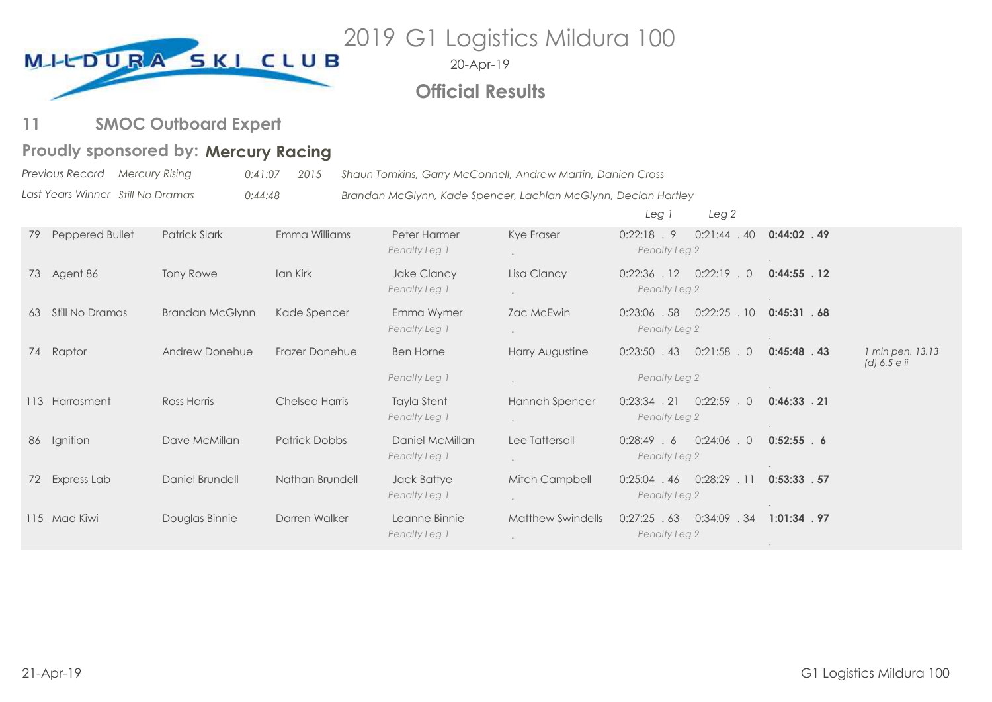

20-Apr-19

# **Official Results**

**SMOC Outboard Expert 11**

# Proudly sponsored by: Mercury Racing

*Previous Record Last Years Winner Mercury Rising 0:41:07 2015 Shaun Tomkins, Garry McConnell, Andrew Martin, Danien Cross Still No Dramas 0:44:48 Brandan McGlynn, Kade Spencer, Lachlan McGlynn, Declan Hartley*

|    |                 |                        |                       |                                     |                                                  | Leg <sub>2</sub><br>Leg 1                         |                |                                  |
|----|-----------------|------------------------|-----------------------|-------------------------------------|--------------------------------------------------|---------------------------------------------------|----------------|----------------------------------|
| 79 | Peppered Bullet | <b>Patrick Slark</b>   | Emma Williams         | Peter Harmer<br>Penalty Leg 1       | Kye Fraser<br>$\ddot{\phantom{0}}$               | 0:22:18.9<br>$0:21:44$ . 40<br>Penalty Leg 2      | $0:44:02$ . 49 |                                  |
|    | 73 Agent 86     | <b>Tony Rowe</b>       | Ian Kirk              | Jake Clancy<br>Penalty Leg 1        | Lisa Clancy<br>$\ddot{\phantom{0}}$              | $0:22:36$ . 12<br>$0:22:19$ . 0<br>Penalty Leg 2  | $0:44:55$ . 12 |                                  |
| 63 | Still No Dramas | <b>Brandan McGlynn</b> | Kade Spencer          | Emma Wymer<br>Penalty Leg 1         | Zac McEwin<br>$\bullet$                          | $0:23:06$ . 58<br>0:22:25<br>.10<br>Penalty Leg 2 | 0:45:31 .68    |                                  |
|    | 74 Raptor       | Andrew Donehue         | <b>Frazer Donehue</b> | <b>Ben Horne</b>                    | Harry Augustine                                  | $0:23:50$ . 43<br>$0:21:58$ . 0                   | $0:45:48$ . 43 | 1 min pen. 13.13<br>(d) 6.5 e ii |
|    |                 |                        |                       | Penalty Leg 1                       |                                                  | Penalty Leg 2                                     |                |                                  |
|    | 113 Harrasment  | Ross Harris            | Chelsea Harris        | <b>Tayla Stent</b><br>Penalty Leg 1 | Hannah Spencer<br>$\bullet$                      | $0:23:34$ . 21<br>$0:22:59$ . 0<br>Penalty Leg 2  | $0:46:33$ . 21 |                                  |
| 86 | Ignition        | Dave McMillan          | <b>Patrick Dobbs</b>  | Daniel McMillan<br>Penalty Leg 1    | Lee Tattersall<br>$\ddot{\phantom{0}}$           | $0:24:06$ . 0<br>0:28:49.6<br>Penalty Leg 2       | $0:52:55$ . 6  |                                  |
|    | 72 Express Lab  | Daniel Brundell        | Nathan Brundell       | Jack Battye<br>Penalty Leg 1        | Mitch Campbell<br>$\ddot{\phantom{a}}$           | $0:28:29$ . 11<br>$0:25:04$ . 46<br>Penalty Leg 2 | 0:53:33.57     |                                  |
|    | 115 Mad Kiwi    | Douglas Binnie         | Darren Walker         | Leanne Binnie<br>Penalty Leg 1      | <b>Matthew Swindells</b><br>$\ddot{\phantom{0}}$ | $0:27:25$ . 63<br>0:34:09<br>.34<br>Penalty Leg 2 | $1:01:34$ . 97 |                                  |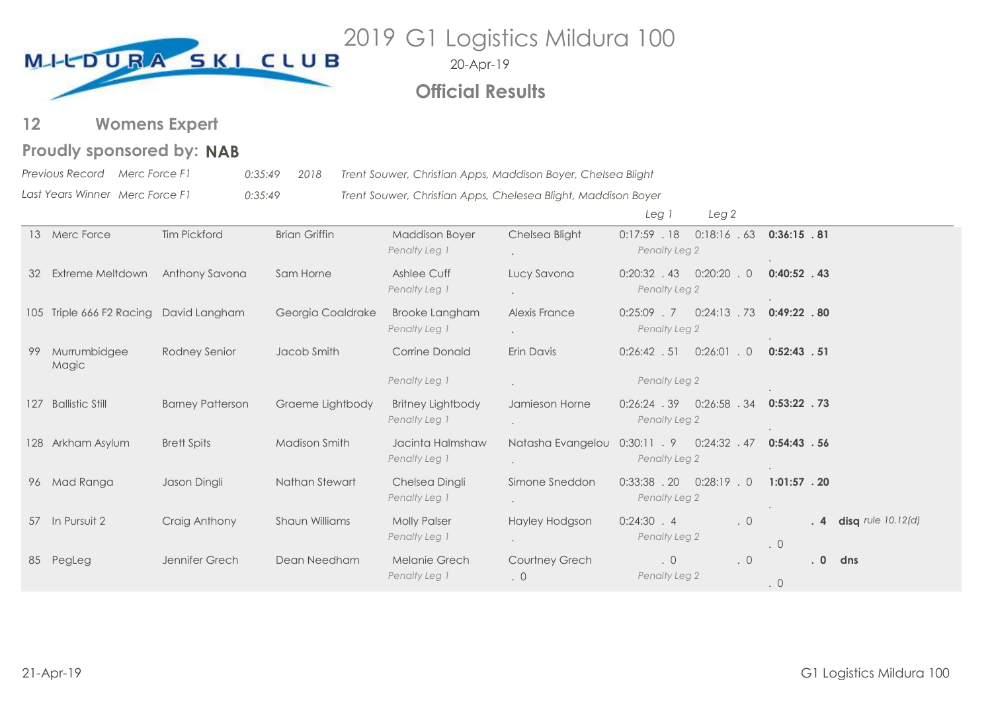

20-Apr-19

# **Official Results**

**Womens Expert 12**

# **Proudly sponsored by: NAB**

*Previous Record Merc Force F1 0:35:49 2018 Trent Souwer, Christian Apps, Maddison Boyer, Chelsea Blight*

*Last Years Winner Merc Force F1 0:35:49 Trent Souwer, Christian Apps, Chelesea Blight, Maddison Boyer*

|    |                                        |                         |                      |                                        |                                        | Leg <sub>2</sub><br>Leg 1                         |                                                 |
|----|----------------------------------------|-------------------------|----------------------|----------------------------------------|----------------------------------------|---------------------------------------------------|-------------------------------------------------|
|    | 13 Merc Force                          | <b>Tim Pickford</b>     | <b>Brian Griffin</b> | <b>Maddison Boyer</b><br>Penalty Leg 1 | Chelsea Blight<br>$\ddot{\phantom{0}}$ | 0:18:16.63<br>$0:17:59$ . 18<br>Penalty Leg 2     | 0:36:15 .81                                     |
| 32 | Extreme Meltdown                       | Anthony Savona          | Sam Horne            | Ashlee Cuff<br>Penalty Leg 1           | Lucy Savona<br>$\bullet$               | $0:20:20$ . 0<br>$0:20:32$ . 43<br>Penalty Leg 2  | $0:40:52$ . 43                                  |
|    | 105 Triple 666 F2 Racing David Langham |                         | Georgia Coaldrake    | <b>Brooke Langham</b><br>Penalty Leg 1 | Alexis France<br>$\bullet$             | $0:24:13$ . 73<br>$0:25:09$ . 7<br>Penalty Leg 2  | $0:49:22$ .80                                   |
| 99 | Murrumbidgee<br>Magic                  | Rodney Senior           | Jacob Smith          | <b>Corrine Donald</b>                  | Erin Davis                             | $0:26:42$ . 51<br>$0:26:01$ . 0                   | 0:52:43.51                                      |
|    |                                        |                         |                      | Penalty Leg 1                          | $\ddot{\phantom{a}}$                   | Penalty Leg 2                                     |                                                 |
|    | 127 Ballistic Still                    | <b>Barney Patterson</b> | Graeme Lightbody     | Britney Lightbody<br>Penalty Leg 1     | Jamieson Horne<br>$\bullet$            | $0:26:24$ . 39<br>$0:26:58$ . 34<br>Penalty Leg 2 | $0:53:22$ .73                                   |
|    | 128 Arkham Asylum                      | <b>Brett Spits</b>      | Madison Smith        | Jacinta Halmshaw<br>Penalty Leg 1      | Natasha Evangelou<br>$\bullet$         | $0:30:11$ . 9<br>$0:24:32$ . 47<br>Penalty Leg 2  | 0:54:43.56                                      |
|    | 96 Mad Ranga                           | Jason Dingli            | Nathan Stewart       | Chelsea Dingli<br>Penalty Leg 1        | Simone Sneddon<br>$\bullet$            | $0:33:38$ . 20<br>$0:28:19$ . 0<br>Penalty Leg 2  | $1:01:57$ . 20                                  |
| 57 | In Pursuit 2                           | Craig Anthony           | Shaun Williams       | <b>Molly Palser</b><br>Penalty Leg 1   | Hayley Hodgson<br>$\bullet$            | 0:24:30 .4<br>$\cdot$ 0<br>Penalty Leg 2          | disq rule $10.12$ (d)<br>$\cdot$ 4<br>$\cdot$ 0 |
| 85 | PegLeg                                 | Jennifer Grech          | Dean Needham         | Melanie Grech<br>Penalty Leg 1         | Courtney Grech<br>$\cdot$ 0            | $\cdot$ 0<br>$\cdot$ 0<br>Penalty Leg 2           | $\overline{\phantom{0}}$<br>dns<br>$\cdot$ 0    |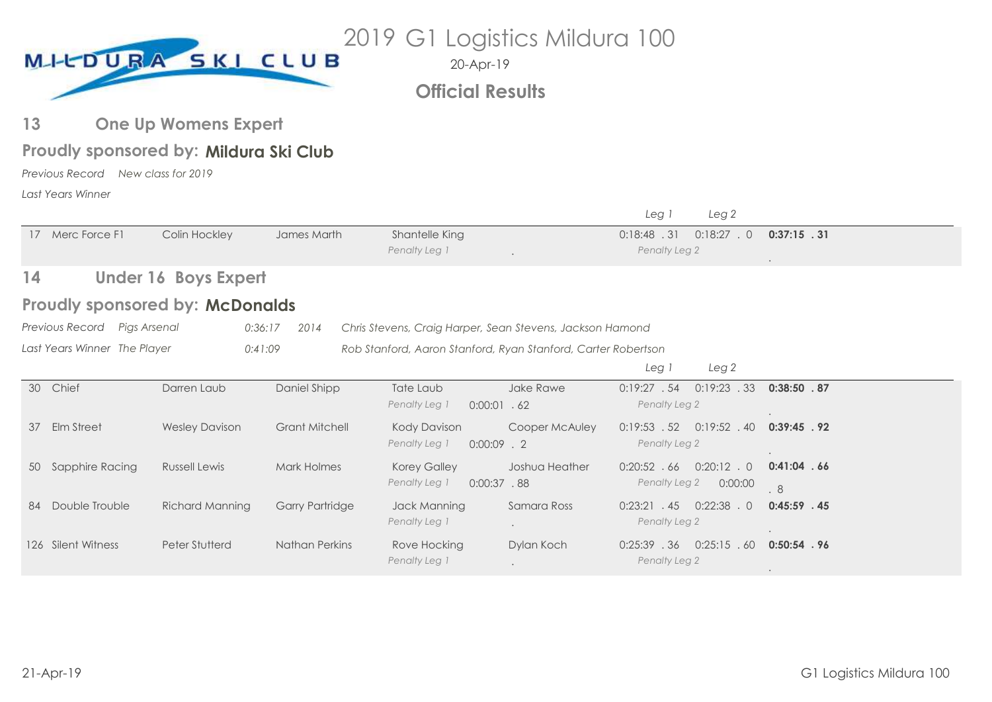

**Official Results**

#### **One Up Womens Expert 13**

# Proudly sponsored by: Mildura Ski Club

*Previous Record New class for 2019 Last Years Winner*

|     |                              |                                        |                        |                                                               |                | Leg 1                           | Leg <sub>2</sub>         |                      |
|-----|------------------------------|----------------------------------------|------------------------|---------------------------------------------------------------|----------------|---------------------------------|--------------------------|----------------------|
|     | 17 Merc Force F1             | Colin Hockley                          | James Marth            | Shantelle King<br>Penalty Leg 1                               |                | 0:18:48.31<br>Penalty Leg 2     | $0:18:27$ . 0            | $0:37:15$ . 31       |
| 14  |                              | <b>Under 16 Boys Expert</b>            |                        |                                                               |                |                                 |                          |                      |
|     |                              | <b>Proudly sponsored by: McDonalds</b> |                        |                                                               |                |                                 |                          |                      |
|     | Previous Record Pigs Arsenal | 0:36:17                                | 2014                   | Chris Stevens, Craig Harper, Sean Stevens, Jackson Hamond     |                |                                 |                          |                      |
|     | Last Years Winner The Player | 0:41:09                                |                        | Rob Stanford, Aaron Stanford, Ryan Stanford, Carter Robertson |                |                                 |                          |                      |
|     |                              |                                        |                        |                                                               |                | Leg 1                           | Leg <sub>2</sub>         |                      |
| 30  | Chief                        | Darren Laub                            | Daniel Shipp           | Tate Laub<br>Penalty Leg 1<br>$0:00:01$ . 62                  | Jake Rawe      | 0:19:27.54<br>Penalty Leg 2     | $0:19:23$ . 33           | 0:38:50.87           |
| 37  | <b>Elm Street</b>            | <b>Wesley Davison</b>                  | <b>Grant Mitchell</b>  | Kody Davison<br>Penalty Leg 1<br>$0:00:09$ . 2                | Cooper McAuley | 0:19:53.52<br>Penalty Leg 2     | $0:19:52$ . 40           | 0:39:45.92           |
|     | 50 Sapphire Racing           | <b>Russell Lewis</b>                   | Mark Holmes            | <b>Korey Galley</b><br>Penalty Leg 1<br>$0:00:37$ . 88        | Joshua Heather | $0:20:52$ . 66<br>Penalty Leg 2 | $0:20:12$ . 0<br>0:00:00 | $0:41:04$ . 66<br>.8 |
| -84 | Double Trouble               | Richard Manning                        | <b>Garry Partridge</b> | Jack Manning<br>Penalty Leg 1                                 | Samara Ross    | $0:23:21$ . 45<br>Penalty Leg 2 | $0:22:38$ . 0            | $0:45:59$ . 45       |
|     | 126 Silent Witness           | Peter Stutterd                         | Nathan Perkins         | Rove Hocking<br>Penalty Leg 1                                 | Dylan Koch     | $0:25:39$ . 36<br>Penalty Leg 2 | 0:25:15.60               | $0:50:54$ . 96       |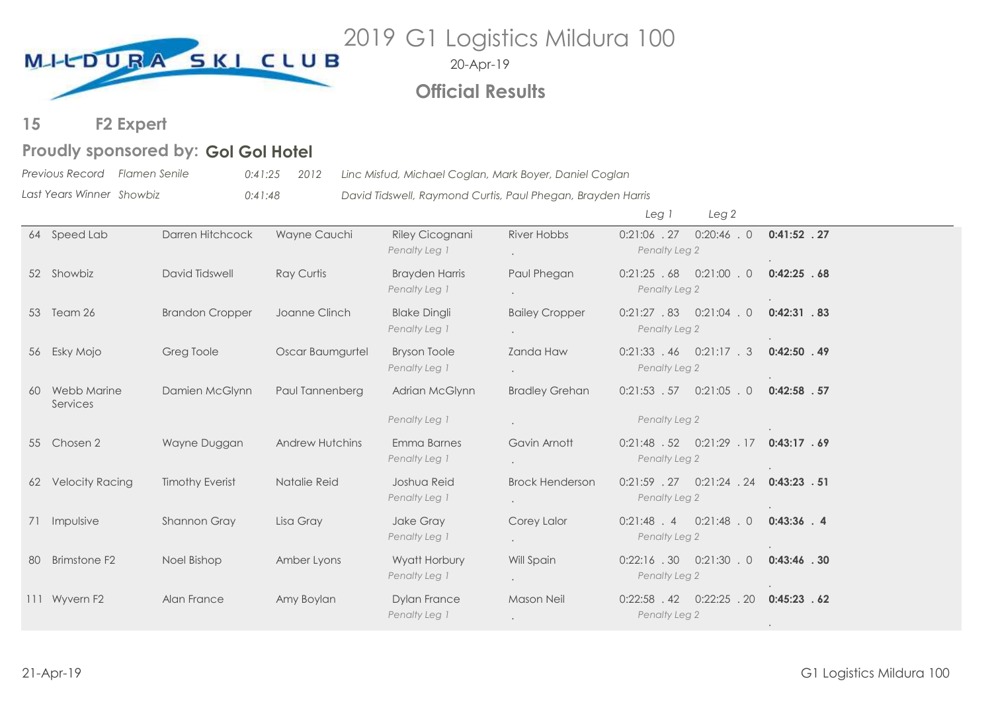

20-Apr-19 **Official Results**

#### **F2 Expert 15**

# Proudly sponsored by: Gol Gol Hotel

*Previous Record Flamen Senile 0:41:25 2012 Linc Misfud, Michael Coglan, Mark Boyer, Daniel Coglan*

*Last Years Winner Showbiz 0:41:48 David Tidswell, Raymond Curtis, Paul Phegan, Brayden Harris*

|    |                                |                        |                        |                                        |                                  | Leg i<br>Leg <sub>2</sub>                        |                |
|----|--------------------------------|------------------------|------------------------|----------------------------------------|----------------------------------|--------------------------------------------------|----------------|
|    | 64 Speed Lab                   | Darren Hitchcock       | Wayne Cauchi           | Riley Cicognani<br>Penalty Leg 1       | <b>River Hobbs</b>               | $0:20:46$ . 0<br>$0:21:06$ . 27<br>Penalty Leg 2 | $0:41:52$ . 27 |
|    | 52 Showbiz                     | David Tidswell         | <b>Ray Curtis</b>      | <b>Brayden Harris</b><br>Penalty Leg 1 | Paul Phegan                      | $0:21:25.68$ $0:21:00.0$<br>Penalty Leg 2        | 0:42:25.68     |
|    | 53 Team 26                     | <b>Brandon Cropper</b> | Joanne Clinch          | <b>Blake Dingli</b><br>Penalty Leg 1   | <b>Bailey Cropper</b>            | $0:21:27.83$ $0:21:04.0$<br>Penalty Leg 2        | $0:42:31$ . 83 |
|    | 56 Esky Mojo                   | Greg Toole             | Oscar Baumgurtel       | <b>Bryson Toole</b><br>Penalty Leg 1   | Zanda Haw                        | $0:21:33$ $.46$ $0:21:17$ $.3$<br>Penalty Leg 2  | $0:42:50$ . 49 |
| 60 | <b>Webb Marine</b><br>Services | Damien McGlynn         | Paul Tannenberg        | Adrian McGlynn                         | <b>Bradley Grehan</b>            | $0:21:53$ $.57$ $0:21:05$ $.0$                   | $0:42:58$ . 57 |
|    |                                |                        |                        | Penalty Leg 1                          |                                  | Penalty Leg 2                                    |                |
|    | 55 Chosen 2                    | Wayne Duggan           | <b>Andrew Hutchins</b> | Emma Barnes<br>Penalty Leg 1           | Gavin Arnott                     | $0:21:48$ $.52$ $0:21:29$ $.17$<br>Penalty Leg 2 | 0:43:17.69     |
| 62 | <b>Velocity Racing</b>         | <b>Timothy Everist</b> | Natalie Reid           | Joshua Reid<br>Penalty Leg 1           | <b>Brock Henderson</b><br>$\sim$ | $0:21:59$ $.27$ $0:21:24$ $.24$<br>Penalty Leg 2 | $0:43:23$ . 51 |
|    | 71 Impulsive                   | Shannon Gray           | Lisa Gray              | Jake Gray<br>Penalty Leg 1             | Corey Lalor                      | $0:21:48$ $4$ $0:21:48$ $0$<br>Penalty Leg 2     | $0:43:36$ . 4  |
| 80 | <b>Brimstone F2</b>            | Noel Bishop            | Amber Lyons            | Wyatt Horbury<br>Penalty Leg 1         | Will Spain<br>$\sim$             | $0:22:16$ . 30 $0:21:30$ . 0<br>Penalty Leg 2    | $0:43:46$ . 30 |
|    | 111 Wyvern F2                  | Alan France            | Amy Boylan             | <b>Dylan France</b><br>Penalty Leg 1   | Mason Neil                       | $0:22:58$ $.42$ $0:22:25$ $.20$<br>Penalty Leg 2 | 0:45:23.62     |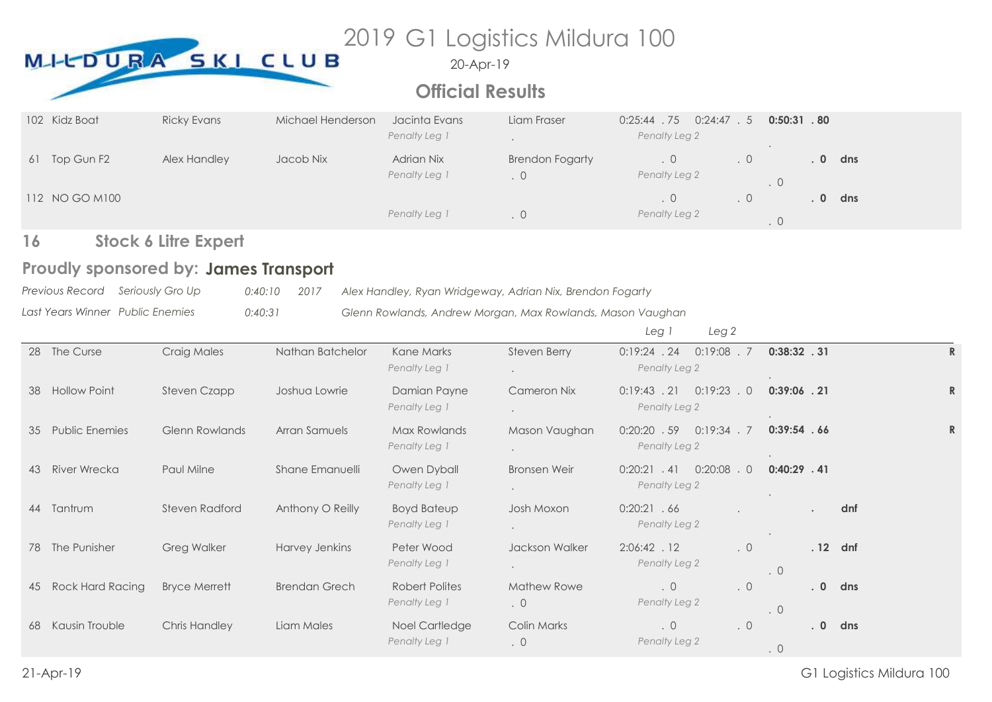# 2019 G1 Logistics Mildura 100 MILDURA SKI CLUB

20-Apr-19

# **Official Results**

| 102 Kidz Boat    | <b>Ricky Evans</b> | Michael Henderson | Jacinta Evans<br>Penalty Leg 1 | Liam Fraser                              | .75<br>0:24:47.5<br>0:25:44<br>Penalty Leg 2 |    | $0:50:31$ . 80 |          |     |
|------------------|--------------------|-------------------|--------------------------------|------------------------------------------|----------------------------------------------|----|----------------|----------|-----|
| Top Gun F2<br>61 | Alex Handley       | Jacob Nix         | Adrian Nix<br>Penalty Leg 1    | <b>Brendon Fogarty</b><br>$\overline{0}$ | .0 <sub>1</sub><br>Penalty Leg 2             | .0 |                | $\bf{0}$ | dns |
| 112 NO GO M100   |                    |                   | Penalty Leg 1                  |                                          | .0 <sub>1</sub><br>Penalty Leg 2             | .0 |                | $\bf{0}$ | dns |

#### **Stock 6 Litre Expert 16**

# Proudly sponsored by: James Transport

| Previous Record Seriously Gro Up | $0:40:10$ 2017 | Alex Handley, Ryan Wridgeway, Adrian Nix, Brendon Fogarty  |
|----------------------------------|----------------|------------------------------------------------------------|
| Last Years Winner Public Enemies | 0:40:31        | Glenn Rowlands, Andrew Morgan, Max Rowlands, Mason Vaughan |

*Leg 1 Leg 2*

|                         | Craig Males                                                      | Nathan Batchelor     | Kane Marks<br>Penalty Leg 1         | Steven Berry<br>$\bullet$              | $0:19:24$ . 24<br>Penalty Leg 2            |                                                                                |                        |                                                                              |                       |
|-------------------------|------------------------------------------------------------------|----------------------|-------------------------------------|----------------------------------------|--------------------------------------------|--------------------------------------------------------------------------------|------------------------|------------------------------------------------------------------------------|-----------------------|
| <b>Hollow Point</b>     | Steven Czapp                                                     | Joshua Lowrie        | Damian Payne<br>Penalty Leg 1       | <b>Cameron Nix</b>                     | $0:19:43$ . 21<br>Penalty Leg 2            |                                                                                |                        |                                                                              | R                     |
|                         | <b>Glenn Rowlands</b>                                            | Arran Samuels        | Max Rowlands<br>Penalty Leg 1       | Mason Vaughan<br>$\bullet$             | $0:20:20$ . 59<br>Penalty Leg 2            |                                                                                |                        |                                                                              | $\mathbb{R}$          |
| <b>River Wrecka</b>     | Paul Milne                                                       | Shane Emanuelli      | Owen Dyball<br>Penalty Leg 1        | <b>Bronsen Weir</b><br>$\bullet$       | 0:20:08<br>$0:20:21$ . 41<br>Penalty Leg 2 |                                                                                |                        |                                                                              |                       |
|                         | Steven Radford                                                   | Anthony O Reilly     | <b>Boyd Bateup</b><br>Penalty Leg 1 | Josh Moxon                             | 0:20:21.66<br>Penalty Leg 2                |                                                                                |                        | dnf                                                                          |                       |
|                         | <b>Greg Walker</b>                                               | Harvey Jenkins       | Peter Wood<br>Penalty Leg 1         | Jackson Walker<br>$\ddot{\phantom{0}}$ | 2:06:42 . 12<br>Penalty Leg 2              |                                                                                |                        |                                                                              |                       |
| <b>Rock Hard Racing</b> | <b>Bryce Merrett</b>                                             | <b>Brendan Grech</b> | Robert Polites<br>Penalty Leg 1     | <b>Mathew Rowe</b><br>$\cdot$ 0        | $\cdot$ 0<br>Penalty Leg 2                 |                                                                                |                        |                                                                              |                       |
| Kausin Trouble          | <b>Chris Handley</b>                                             | Liam Males           | Noel Cartledge<br>Penalty Leg 1     | Colin Marks<br>$\cdot$ 0               | $\cdot$ 0<br>Penalty Leg 2                 | $\cdot$ 0                                                                      |                        |                                                                              |                       |
|                         | The Curse<br><b>Public Enemies</b><br>44 Tantrum<br>The Punisher |                      |                                     |                                        |                                            | $0:19:08$ . 7<br>$0:19:23$ . 0<br>$0:19:34$ . 7<br>.0<br>$\cdot$ 0<br>.0<br>.0 | $\cdot$ 0<br>$\cdot$ 0 | $0:38:32$ . 31<br>$0:39:06$ . 21<br>0:39:54.66<br>$0:40:29$ . 41<br>.0<br>.0 | .12 dnf<br>dns<br>dns |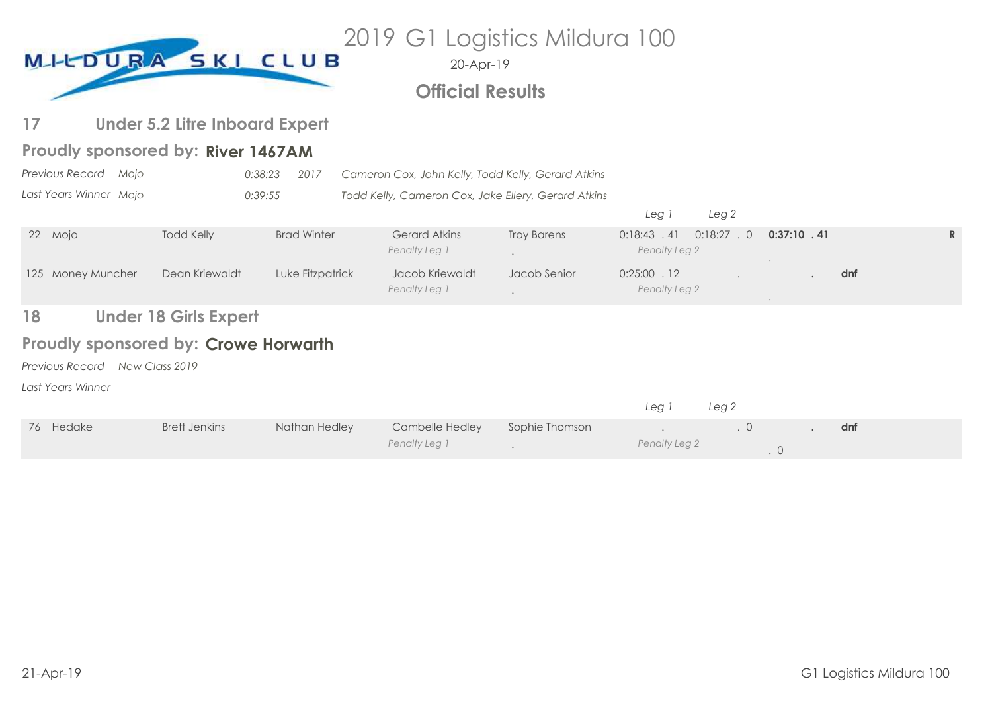| 2019 G1 Logistics Mildura 100<br>MI-CDURA SKI CLUB<br>20-Apr-19<br><b>Official Results</b> |                                             |                    |                                                     |                    |                                 |                  |                |     |              |  |
|--------------------------------------------------------------------------------------------|---------------------------------------------|--------------------|-----------------------------------------------------|--------------------|---------------------------------|------------------|----------------|-----|--------------|--|
|                                                                                            |                                             |                    |                                                     |                    |                                 |                  |                |     |              |  |
| 17                                                                                         | <b>Under 5.2 Litre Inboard Expert</b>       |                    |                                                     |                    |                                 |                  |                |     |              |  |
|                                                                                            | Proudly sponsored by: River 1467AM          |                    |                                                     |                    |                                 |                  |                |     |              |  |
| Previous Record Moio                                                                       |                                             | 0:38:23<br>2017    | Cameron Cox, John Kelly, Todd Kelly, Gerard Atkins  |                    |                                 |                  |                |     |              |  |
| Last Years Winner Mojo                                                                     |                                             | 0:39:55            | Todd Kelly, Cameron Cox, Jake Ellery, Gerard Atkins |                    |                                 |                  |                |     |              |  |
|                                                                                            |                                             |                    |                                                     |                    | Leg 1                           | Leg <sub>2</sub> |                |     |              |  |
| 22 Mojo                                                                                    | <b>Todd Kelly</b>                           | <b>Brad Winter</b> | <b>Gerard Atkins</b><br>Penalty Leg 1               | <b>Troy Barens</b> | $0:18:43$ . 41<br>Penalty Leg 2 | $0:18:27$ . 0    | $0:37:10$ . 41 |     | $\mathbb{R}$ |  |
| 125 Money Muncher                                                                          | Dean Kriewaldt                              | Luke Fitzpatrick   | Jacob Kriewaldt<br>Penalty Leg 1                    | Jacob Senior       | $0:25:00$ . 12<br>Penalty Leg 2 |                  |                | dnf |              |  |
| 18                                                                                         | <b>Under 18 Girls Expert</b>                |                    |                                                     |                    |                                 |                  |                |     |              |  |
|                                                                                            | <b>Proudly sponsored by: Crowe Horwarth</b> |                    |                                                     |                    |                                 |                  |                |     |              |  |
| Previous Record                                                                            | New Class 2019                              |                    |                                                     |                    |                                 |                  |                |     |              |  |
| Last Years Winner                                                                          |                                             |                    |                                                     |                    |                                 |                  |                |     |              |  |

|           |               |               |                 |                | Lea           | Leg <sub>2</sub> |     |  |
|-----------|---------------|---------------|-----------------|----------------|---------------|------------------|-----|--|
| 76 Hedake | Brett Jenkins | Nathan Hedley | Cambelle Hedley | Sophie Thomson |               |                  | dnf |  |
|           |               |               | Penalty Leg 1   |                | Penalty Leg 2 |                  |     |  |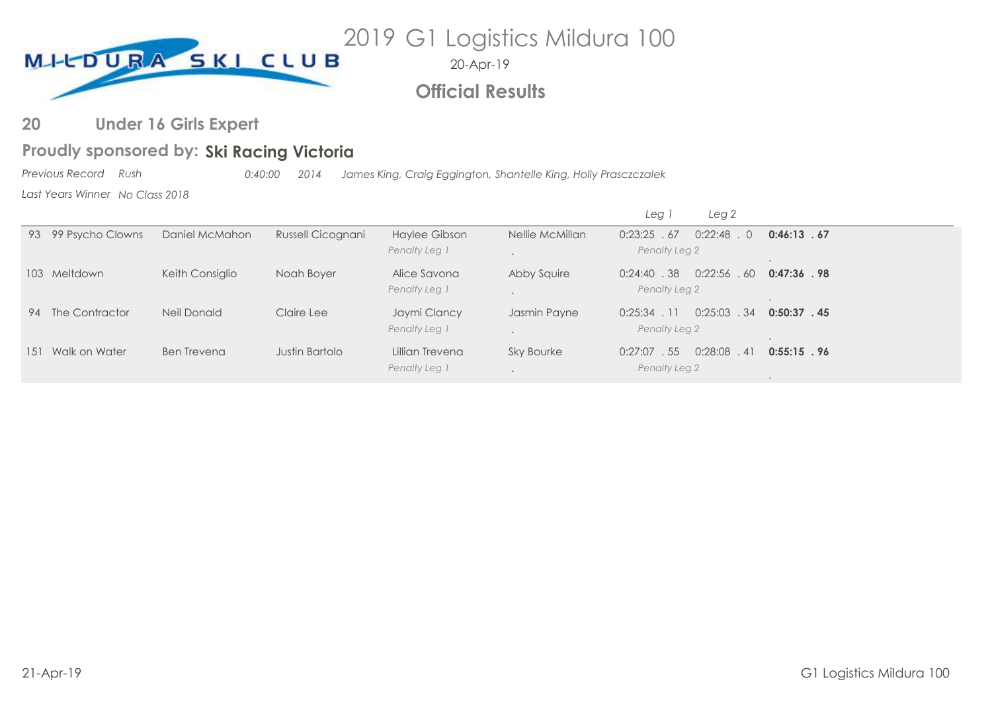

# **Official Results**

#### **Under 16 Girls Expert 20**

# Proudly sponsored by: Ski Racing Victoria

*Previous Record Rush 0:40:00 2014 James King, Craig Eggington, Shantelle King, Holly Prasczczalek*

*Last Years Winner No Class 2018*

|                      |                 |                   |                                  |                   | Leg 2<br>Leg <sup>-</sup>                          |                |
|----------------------|-----------------|-------------------|----------------------------------|-------------------|----------------------------------------------------|----------------|
| 93 99 Psycho Clowns  | Daniel McMahon  | Russell Cicognani | Haylee Gibson<br>Penalty Leg 1   | Nellie McMillan   | 0:22:48<br>0:23:25.67<br>$\Omega$<br>Penalty Leg 2 | 0:46:13.67     |
| 103 Meltdown         | Keith Consiglio | Noah Boyer        | Alice Savona<br>Penalty Leg 1    | Abby Squire       | $0:22:56$ . 60<br>$0:24:40$ . 38<br>Penalty Leg 2  | $0:47:36$ . 98 |
| 94 The Contractor    | Neil Donald     | Claire Lee        | Jaymi Clancy<br>Penalty Leg 1    | Jasmin Payne      | $0:25:03$ . 34<br>$0:25:34$ . 11<br>Penalty Leg 2  | $0:50:37$ . 45 |
| Walk on Water<br>151 | Ben Trevena     | Justin Bartolo    | Lillian Trevena<br>Penalty Leg 1 | <b>Sky Bourke</b> | $0:28:08$ . 41<br>$0:27:07$ . 55<br>Penalty Leg 2  | $0:55:15$ . 96 |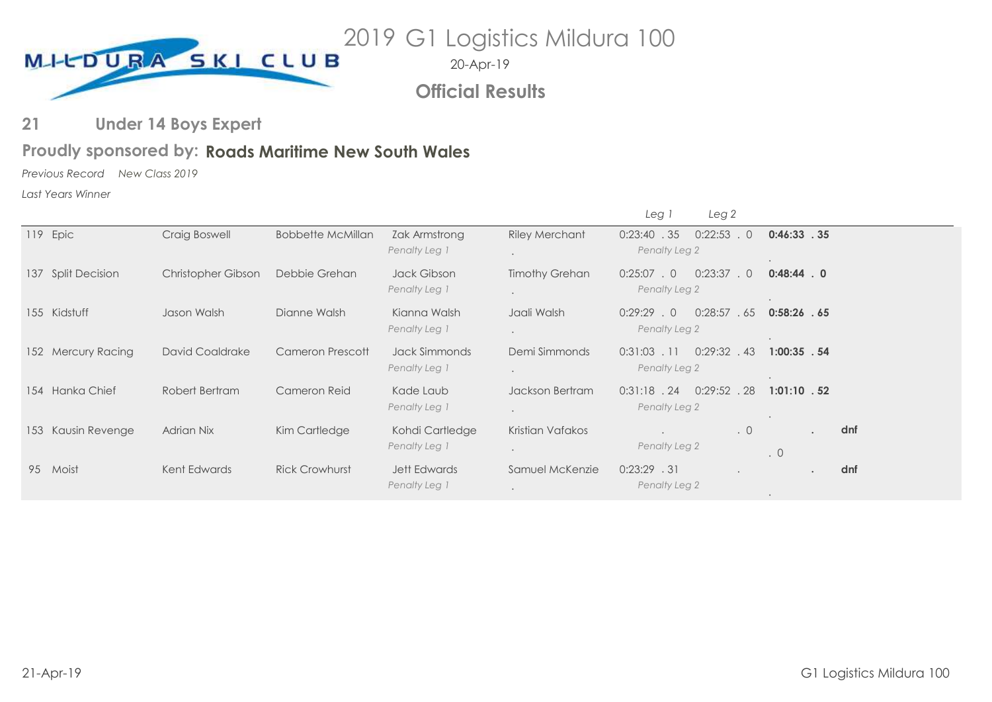

**Official Results**

#### **Under 14 Boys Expert 21**

# Proudly sponsored by: Roads Maritime New South Wales

*Previous Record New Class 2019*

*Last Years Winner*

|     |                       |                        |                          |                                      |                                               | Leg 1<br>Leg 2                                         |                |     |
|-----|-----------------------|------------------------|--------------------------|--------------------------------------|-----------------------------------------------|--------------------------------------------------------|----------------|-----|
|     | 119 Epic              | Craig Boswell          | <b>Bobbette McMillan</b> | Zak Armstrong<br>Penalty Leg 1       | <b>Riley Merchant</b><br>$\ddot{\phantom{a}}$ | $0:22:53$ . 0<br>0:23:40.35<br>Penalty Leg 2           | 0:46:33.35     |     |
| 137 | <b>Split Decision</b> | Christopher Gibson     | Debbie Grehan            | Jack Gibson<br>Penalty Leg 1         | <b>Timothy Grehan</b><br>$\ddot{\phantom{0}}$ | 0:23:37<br>$0:25:07$ . 0<br>$\cdot$ 0<br>Penalty Leg 2 | $0:48:44$ . 0  |     |
|     | 155 Kidstuff          | Jason Walsh            | Dianne Walsh             | Kianna Walsh<br>Penalty Leg 1        | Jaali Walsh<br>$\ddot{\phantom{0}}$           | 0:28:57<br>$0:29:29$ . 0<br>. 65<br>Penalty Leg 2      | $0:58:26$ . 65 |     |
|     | 152 Mercury Racing    | <b>David Coaldrake</b> | Cameron Prescott         | Jack Simmonds<br>Penalty Leg 1       | Demi Simmonds<br>$\ddot{\phantom{0}}$         | $0:31:03$ . 11<br>$0:29:32$ . 43<br>Penalty Leg 2      | $1:00:35$ . 54 |     |
|     | 154 Hanka Chief       | Robert Bertram         | Cameron Reid             | Kade Laub<br>Penalty Leg 1           | Jackson Bertram<br>$\bullet$                  | $0:29:52$ . 28<br>$0:31:18$ . 24<br>Penalty Leg 2      | $1:01:10$ . 52 |     |
| 153 | Kausin Revenge        | <b>Adrian Nix</b>      | Kim Cartledge            | Kohdi Cartledge<br>Penalty Leg 1     | Kristian Vafakos<br>$\bullet$                 | $\cdot$ 0<br>Penalty Leg 2                             | $\cdot$ 0      | dnf |
| 95  | Moist                 | Kent Edwards           | <b>Rick Crowhurst</b>    | <b>Jett Edwards</b><br>Penalty Leg 1 | Samuel McKenzie<br>$\bullet$                  | $0:23:29$ . 31<br>Penalty Leg 2                        | $\bullet$      | dnf |
|     |                       |                        |                          |                                      |                                               |                                                        |                |     |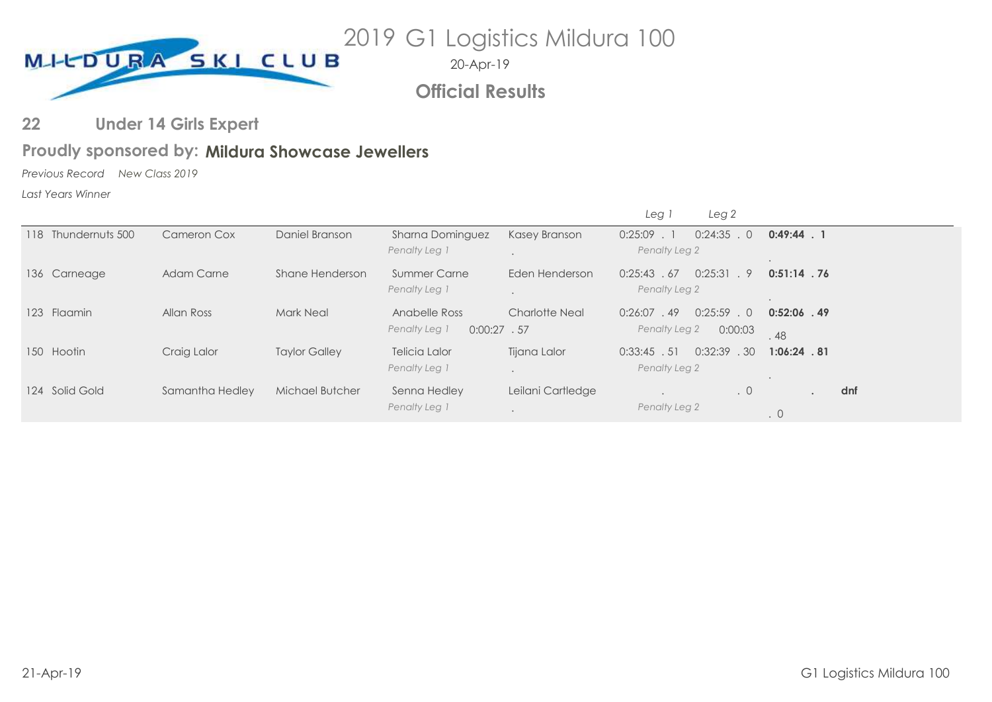

**Official Results**

#### **Under 14 Girls Expert 22**

### Proudly sponsored by: Mildura Showcase Jewellers

*Previous Record New Class 2019*

*Last Years Winner*

|                       |                   |                      |                                 |                       | Leg i<br>Leg 2                     |                |
|-----------------------|-------------------|----------------------|---------------------------------|-----------------------|------------------------------------|----------------|
| 118 Thundernuts 500   | Cameron Cox       | Daniel Branson       | Sharna Dominguez                | Kasey Branson         | 0:25:09<br>$0:24:35$ . 0<br>$\sim$ | $0:49:44$ . 1  |
|                       |                   |                      | Penalty Leg 1                   |                       | Penalty Leg 2                      | $\bullet$      |
| 136 Carneage          | <b>Adam Carne</b> | Shane Henderson      | <b>Summer Carne</b>             | Eden Henderson        | 0:25:31<br>0:25:43<br>9<br>.67     | $0:51:14$ . 76 |
|                       |                   |                      | Penalty Leg 1                   |                       | Penalty Leg 2                      |                |
| <b>Flaamin</b><br>123 | Allan Ross        | <b>Mark Neal</b>     | Anabelle Ross                   | <b>Charlotte Neal</b> | $0:25:59$ . 0<br>0:26:07<br>.49    | $0:52:06$ . 49 |
|                       |                   |                      | Penalty Leg 1<br>$0:00:27$ . 57 |                       | Penalty Leg 2<br>0:00:03           | .48            |
| 150 Hootin            | Craig Lalor       | <b>Taylor Galley</b> | <b>Telicia Lalor</b>            | Tijana Lalor          | 0:32:39<br>.30<br>0:33:45.51       | $1:06:24$ . 81 |
|                       |                   |                      | Penalty Leg 1                   |                       | Penalty Leg 2                      |                |
| 124 Solid Gold        | Samantha Hedley   | Michael Butcher      | Senna Hedley                    | Leilani Cartledge     | $\cdot$ 0<br>$\bullet$             | dnf<br>$\sim$  |
|                       |                   |                      | Penalty Leg 1                   | $\ddot{\phantom{1}}$  | Penalty Leg 2                      | $\cdot$ 0      |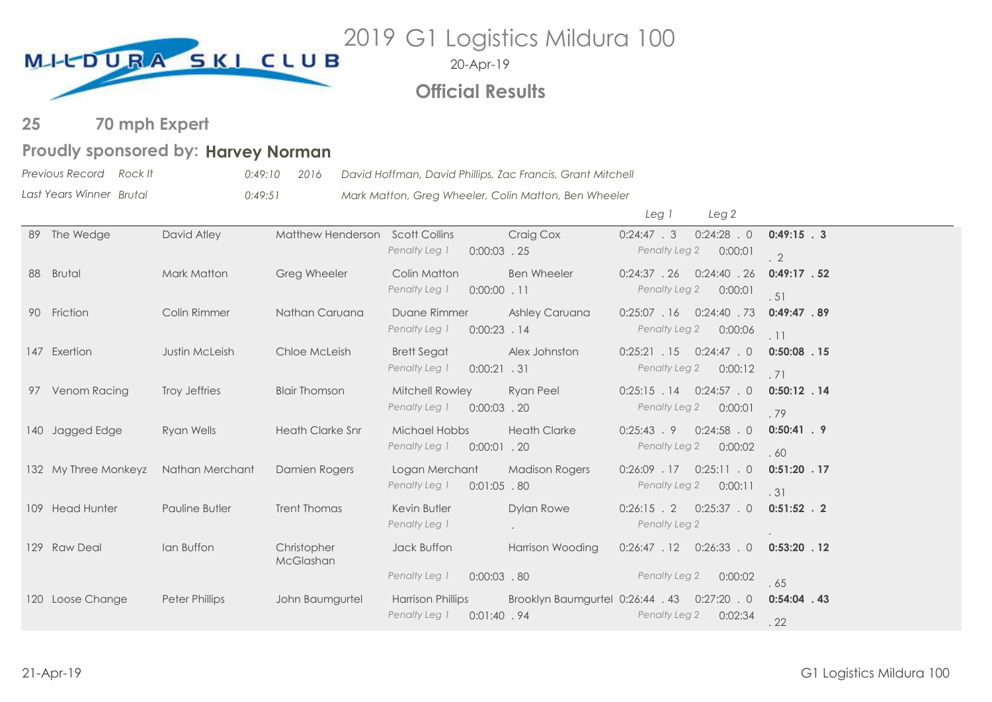

# **Official Results**

#### **70 mph Expert 25**

# Proudly sponsored by: Harvey Norman

| Previous Record Rock It  | 0:49:10 | 2016 | David Hoffman, David Phillips, Zac Francis, Grant Mitchell |
|--------------------------|---------|------|------------------------------------------------------------|
| Last Years Winner Brutal | 0:49:51 |      | Mark Matton, Greg Wheeler, Colin Matton, Ben Wheeler       |

|     |                      |                       |                          |                                                                                            |                                  | Leg 1                           | Leg <sub>2</sub>                    |                              |
|-----|----------------------|-----------------------|--------------------------|--------------------------------------------------------------------------------------------|----------------------------------|---------------------------------|-------------------------------------|------------------------------|
| 89  | The Wedge            | David Atley           | <b>Matthew Henderson</b> | <b>Scott Collins</b><br>Penalty Leg 1<br>$0:00:03$ . 25                                    | Craig Cox                        | $0:24:47$ . 3<br>Penalty Leg 2  | $0:24:28$ . 0<br>0:00:01            | $0:49:15$ . 3<br>$\cdot$ 2   |
| 88  | <b>Brutal</b>        | Mark Matton           | Greg Wheeler             | Colin Matton<br>Penalty Leg 1<br>$0:00:00$ . 11                                            | <b>Ben Wheeler</b>               | $0:24:37$ . 26<br>Penalty Leg 2 | $0:24:40$ . 26<br>0:00:01           | $0:49:17$ . 52<br>.51        |
|     | 90 Friction          | Colin Rimmer          | Nathan Caruana           | Duane Rimmer<br>Penalty Leg 1<br>$0:00:23$ . 14                                            | Ashley Caruana                   | $0:25:07$ . 16<br>Penalty Leg 2 | $0:24:40$ . 73<br>0:00:06           | 0:49:47.89<br>.11            |
|     | 147 Exertion         | Justin McLeish        | Chloe McLeish            | <b>Brett Segat</b><br>Penalty Leg 1<br>$0:00:21$ . 31                                      | Alex Johnston                    | $0:25:21$ . 15<br>Penalty Leg 2 | $0:24:47$ . 0<br>0:00:12            | $0:50:08$ . 15<br>.71        |
| 97  | Venom Racing         | Troy Jeffries         | <b>Blair Thomson</b>     | Mitchell Rowley<br>Penalty Leg 1<br>$0:00:03$ . 20                                         | <b>Ryan Peel</b>                 | $0:25:15$ . 14<br>Penalty Leg 2 | $0:24:57$ . 0<br>0:00:01            | $0:50:12$ . 14<br>.79        |
| 140 | Jagged Edge          | Ryan Wells            | <b>Heath Clarke Snr</b>  | Michael Hobbs<br>Penalty Leg 1<br>$0:00:01$ . 20                                           | <b>Heath Clarke</b>              | $0:25:43$ . 9<br>Penalty Leg 2  | $0:24:58$ . 0<br>0:00:02            | $0:50:41$ . 9<br>.60         |
|     | 132 My Three Monkeyz | Nathan Merchant       | Damien Rogers            | Logan Merchant<br>Penalty Leg 1<br>$0:01:05$ .80                                           | <b>Madison Rogers</b>            | 0:26:09 .17<br>Penalty Leg 2    | $0:25:11$ . 0<br>0:00:11            | $0:51:20$ . 17<br>.31        |
|     | 109 Head Hunter      | Pauline Butler        | <b>Trent Thomas</b>      | Kevin Butler<br>Penalty Leg 1                                                              | <b>Dylan Rowe</b>                | $0:26:15$ . 2<br>Penalty Leg 2  | $0:25:37$ . 0                       | $0:51:52$ . 2                |
|     | 129 Raw Deal         | Ian Buffon            | Christopher<br>McGlashan | Jack Buffon                                                                                | <b>Harrison Wooding</b>          | 0:26:47.12                      | $0:26:33$ . 0                       | $0:53:20$ . 12               |
| 120 | Loose Change         | <b>Peter Phillips</b> | John Baumgurtel          | Penalty Leg 1<br>$0:00:03$ . 80<br><b>Harrison Phillips</b><br>Penalty Leg 1<br>0:01:40.94 | Brooklyn Baumgurtel 0:26:44 . 43 | Penalty Leg 2<br>Penalty Leg 2  | 0:00:02<br>$0:27:20$ . 0<br>0:02:34 | .65<br>$0:54:04$ . 43<br>.22 |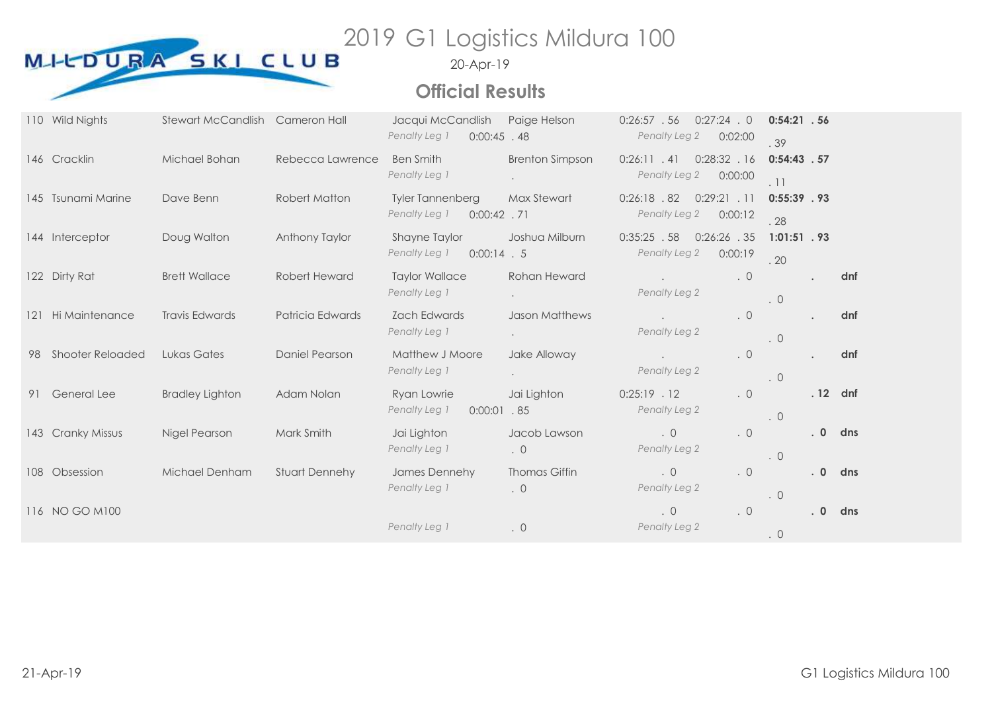

# **Official Results**

|     | 110 Wild Nights         | Stewart McCandlish Cameron Hall |                       | Jacqui McCandlish<br>Penalty Leg 1<br>$0:00:45$ . 48       | Paige Helson                      | $0:26:57$ . 56<br>Penalty Leg 2 | $0:27:24$ . 0<br>0:02:00  | $0:54:21$ . 56<br>.39 |           |     |
|-----|-------------------------|---------------------------------|-----------------------|------------------------------------------------------------|-----------------------------------|---------------------------------|---------------------------|-----------------------|-----------|-----|
|     | 146 Cracklin            | Michael Bohan                   | Rebecca Lawrence      | <b>Ben Smith</b><br>Penalty Leg 1                          | <b>Brenton Simpson</b>            | 0:26:11.41<br>Penalty Leg 2     | 0:28:32.16<br>0:00:00     | $0:54:43$ . 57<br>.11 |           |     |
|     | 145 Tsunami Marine      | Dave Benn                       | Robert Matton         | <b>Tyler Tannenberg</b><br>Penalty Leg 1<br>$0:00:42$ . 71 | Max Stewart                       | $0:26:18$ . 82<br>Penalty Leg 2 | $0:29:21$ . 11<br>0:00:12 | $0:55:39$ . 93<br>.28 |           |     |
|     | 144 Interceptor         | Doug Walton                     | Anthony Taylor        | <b>Shayne Taylor</b><br>Penalty Leg 1<br>$0:00:14$ . 5     | Joshua Milburn                    | $0:35:25$ . 58<br>Penalty Leg 2 | $0:26:26$ . 35<br>0:00:19 | $1:01:51$ . 93<br>.20 |           |     |
|     | 122 Dirty Rat           | <b>Brett Wallace</b>            | Robert Heward         | <b>Taylor Wallace</b><br>Penalty Leg 1                     | Rohan Heward                      | Penalty Leg 2                   | $\cdot$ 0                 | $\cdot$ 0             |           | dnf |
| 121 | Hi Maintenance          | <b>Travis Edwards</b>           | Patricia Edwards      | <b>Zach Edwards</b><br>Penalty Leg 1                       | <b>Jason Matthews</b>             | Penalty Leg 2                   | $\cdot$ 0                 | $\cdot$ 0             |           | dnf |
| 98  | <b>Shooter Reloaded</b> | Lukas Gates                     | <b>Daniel Pearson</b> | Matthew J Moore<br>Penalty Leg 1                           | Jake Alloway                      | Penalty Leg 2                   | $\cdot$ 0                 | $\cdot$ 0             |           | dnf |
| 91  | <b>General Lee</b>      | <b>Bradley Lighton</b>          | Adam Nolan            | Ryan Lowrie<br>Penalty Leg 1<br>$0:00:01$ .85              | Jai Lighton                       | $0:25:19$ . 12<br>Penalty Leg 2 | $\cdot$ 0                 | .0                    | . 12 dnf  |     |
| 143 | <b>Cranky Missus</b>    | Nigel Pearson                   | Mark Smith            | Jai Lighton<br>Penalty Leg 1                               | Jacob Lawson<br>$\cdot$ 0         | $\cdot$ 0<br>Penalty Leg 2      | . $\circ$                 | $\cdot$ 0             | .0        | dns |
|     | 108 Obsession           | Michael Denham                  | Stuart Dennehy        | James Dennehy<br>Penalty Leg 1                             | <b>Thomas Giffin</b><br>$\cdot$ 0 | $\cdot$ 0<br>Penalty Leg 2      | $\cdot$ 0                 | $\cdot$ 0             | $\cdot$ 0 | dns |
|     | 116 NO GO M100          |                                 |                       | Penalty Leg 1                                              | $\cdot$ 0                         | $\cdot$ 0<br>Penalty Leg 2      | . $\circ$                 | $\cdot$ 0             | $\cdot$ 0 | dns |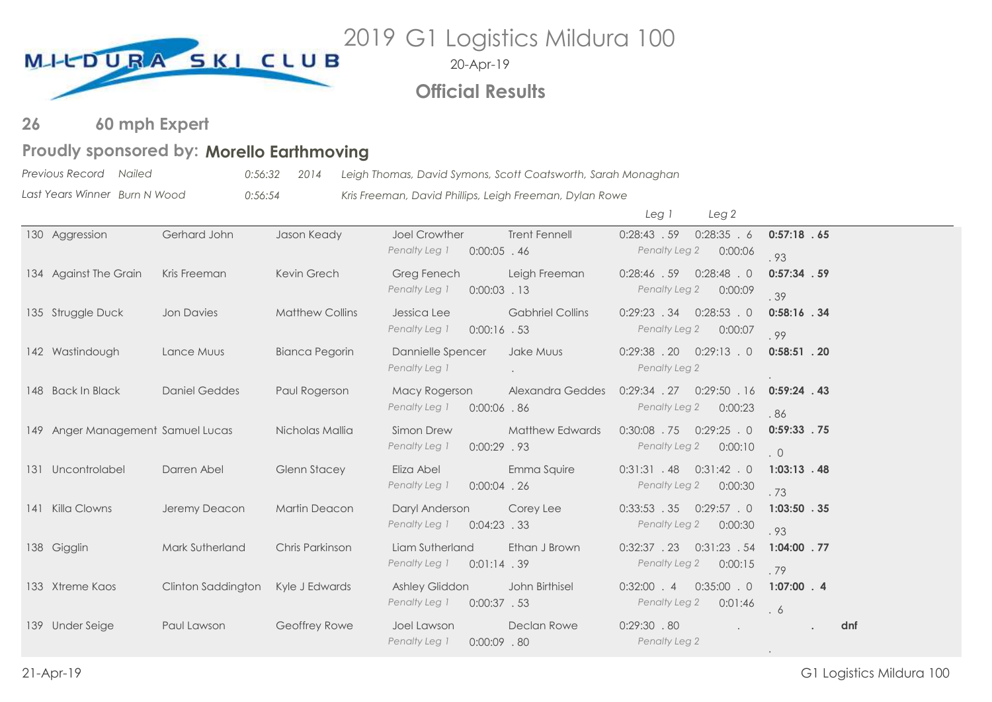

20-Apr-19

# **Official Results**

#### **60 mph Expert 26**

### Proudly sponsored by: Morello Earthmoving

*Previous Record Nailed 0:56:32 2014 Leigh Thomas, David Symons, Scott Coatsworth, Sarah Monaghan*

*Last Years Winner Burn N Wood 0:56:54 Kris Freeman, David Phillips, Leigh Freeman, Dylan Rowe*

|                                   |                      |                        |                                                         |                         | Leg 1                           | Leg 2                     |                              |
|-----------------------------------|----------------------|------------------------|---------------------------------------------------------|-------------------------|---------------------------------|---------------------------|------------------------------|
| 130 Aggression                    | Gerhard John         | Jason Keady            | <b>Joel Crowther</b><br>Penalty Leg 1<br>$0:00:05$ . 46 | <b>Trent Fennell</b>    | 0:28:43.59<br>Penalty Leg 2     | 0:28:35.6<br>0:00:06      | 0:57:18.65                   |
| 134 Against The Grain             | Kris Freeman         | Kevin Grech            | Greg Fenech<br>Penalty Leg 1<br>$0:00:03$ . 13          | Leigh Freeman           | 0:28:46.59<br>Penalty Leg 2     | $0:28:48$ . 0<br>0:00:09  | .93<br>$0:57:34$ . 59<br>.39 |
| 135 Struggle Duck                 | <b>Jon Davies</b>    | <b>Matthew Collins</b> | Jessica Lee<br>Penalty Leg 1<br>$0:00:16$ . 53          | <b>Gabhriel Collins</b> | 0:29:23.34<br>Penalty Leg 2     | $0:28:53$ . 0<br>0:00:07  | $0:58:16$ . 34<br>.99        |
| 142 Wastindough                   | Lance Muus           | Bianca Pegorin         | Dannielle Spencer<br>Penalty Leg 1                      | Jake Muus               | $0:29:38$ . 20<br>Penalty Leg 2 | 0:29:13.0                 | $0:58:51$ . 20               |
| 148 Back In Black                 | <b>Daniel Geddes</b> | Paul Rogerson          | Macy Rogerson<br>Penalty Leg 1<br>$0:00:06$ .86         | <b>Alexandra Geddes</b> | $0:29:34$ . 27<br>Penalty Leg 2 | 0:29:50.16<br>0:00:23     | $0:59:24$ . 43<br>.86        |
| 149 Anger Management Samuel Lucas |                      | Nicholas Mallia        | Simon Drew<br>Penalty Leg 1<br>$0:00:29$ . 93           | <b>Matthew Edwards</b>  | $0:30:08$ . 75<br>Penalty Leg 2 | $0:29:25$ . 0<br>0:00:10  | $0:59:33$ . 75<br>.0         |
| 131 Uncontrolabel                 | Darren Abel          | <b>Glenn Stacey</b>    | Eliza Abel<br>Penalty Leg 1<br>$0:00:04$ . 26           | Emma Squire             | 0:31:31.48<br>Penalty Leg 2     | $0:31:42$ . 0<br>0:00:30  | $1:03:13$ . 48<br>.73        |
| 141 Killa Clowns                  | Jeremy Deacon        | <b>Martin Deacon</b>   | Daryl Anderson<br>Penalty Leg 1<br>$0:04:23$ . 33       | Corey Lee               | 0:33:53.35<br>Penalty Leg 2     | $0:29:57$ . 0<br>0:00:30  | $1:03:50$ . 35<br>.93        |
| 138 Gigglin                       | Mark Sutherland      | Chris Parkinson        | Liam Sutherland<br>Penalty Leg 1<br>$0:01:14$ . 39      | Ethan J Brown           | 0:32:37.23<br>Penalty Leg 2     | $0:31:23$ . 54<br>0:00:15 | $1:04:00$ . 77<br>.79        |
| 133 Xtreme Kaos                   | Clinton Saddington   | Kyle J Edwards         | Ashley Gliddon<br>Penalty Leg 1<br>$0:00:37$ . 53       | John Birthisel          | $0:32:00$ . 4<br>Penalty Leg 2  | $0:35:00$ . 0<br>0:01:46  | $1:07:00$ . 4<br>. 6         |
| 139 Under Seige                   | Paul Lawson          | Geoffrey Rowe          | Joel Lawson<br>Penalty Leg 1<br>$0:00:09$ . 80          | Declan Rowe             | $0:29:30$ .80<br>Penalty Leg 2  |                           | dnf                          |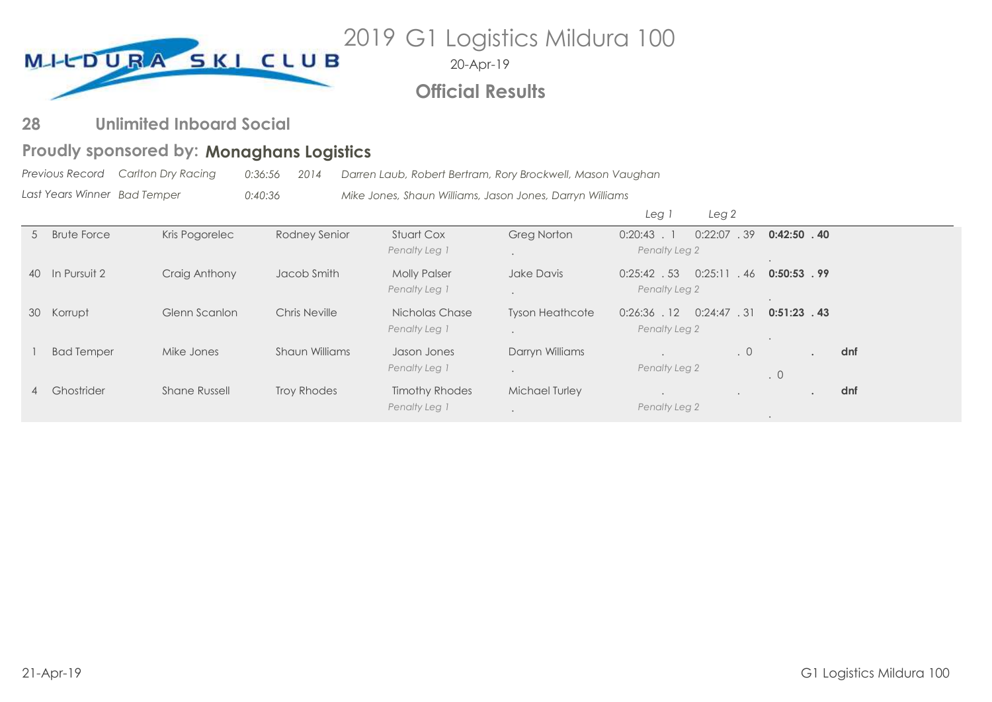

20-Apr-19

# **Official Results**

#### **Unlimited Inboard Social 28**

# **Monaghans Logistics Proudly sponsored by:**

*Previous Record Last Years Winner Carlton Dry Racing 0:36:56 2014 Darren Laub, Robert Bertram, Rory Brockwell, Mason Vaughan Bad Temper 0:40:36 Mike Jones, Shaun Williams, Jason Jones, Darryn Williams*

|                |                    |                      |                       |                                        |                        | Leg <sup>1</sup><br>Leg <sub>2</sub>          |           |                 |     |
|----------------|--------------------|----------------------|-----------------------|----------------------------------------|------------------------|-----------------------------------------------|-----------|-----------------|-----|
| 5 <sup>7</sup> | <b>Brute Force</b> | Kris Pogorelec       | Rodney Senior         | <b>Stuart Cox</b><br>Penalty Leg 1     | <b>Greg Norton</b>     | 0:22:07<br>$0:20:43$ .<br>Penalty Leg 2       | .39       | $0:42:50$ $.40$ |     |
|                | 40 In Pursuit 2    | Craig Anthony        | Jacob Smith           | <b>Molly Palser</b><br>Penalty Leg 1   | Jake Davis             | 0:25:11<br>$0:25:42$ . 53<br>Penalty Leg 2    | . 46      | $0:50:53$ . 99  |     |
|                | 30 Korrupt         | Glenn Scanlon        | Chris Neville         | Nicholas Chase<br>Penalty Leg 1        | <b>Tyson Heathcote</b> | 0:24:47.31<br>$0:26:36$ . 12<br>Penalty Leg 2 |           | $0:51:23$ . 43  |     |
|                | <b>Bad Temper</b>  | Mike Jones           | <b>Shaun Williams</b> | Jason Jones<br>Penalty Leg 1           | Darryn Williams        | Penalty Leg 2                                 | $\cdot$ 0 | $\cdot$ 0       | dnf |
| 4              | Ghostrider         | <b>Shane Russell</b> | Troy Rhodes           | <b>Timothy Rhodes</b><br>Penalty Leg 1 | <b>Michael Turley</b>  | Penalty Leg 2                                 |           |                 | dnf |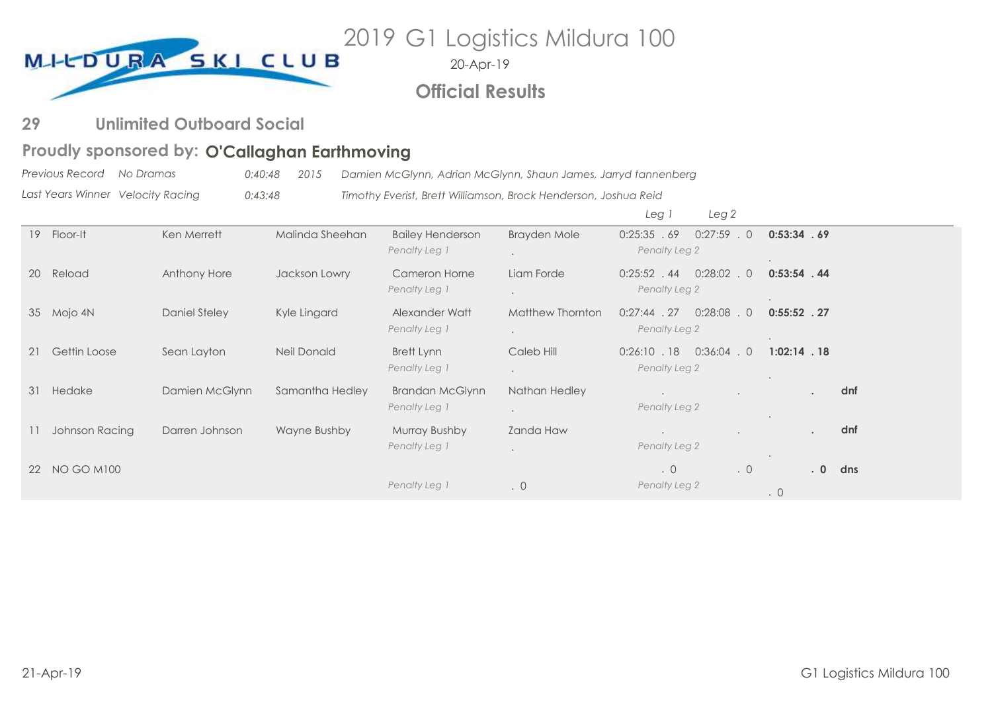

20-Apr-19

# **Official Results**

#### **Unlimited Outboard Social 29**

# Proudly sponsored by: O'Callaghan Earthmoving

*Previous Record No Dramas 0:40:48 2015 Damien McGlynn, Adrian McGlynn, Shaun James, Jarryd tannenberg*

*Last Years Winner Velocity Racing 0:43:48 Timothy Everist, Brett Williamson, Brock Henderson, Joshua Reid*

|                 |                     |                      |                    |                                          |                                          | Leg i<br>Leg <sub>2</sub>                              |                                        |
|-----------------|---------------------|----------------------|--------------------|------------------------------------------|------------------------------------------|--------------------------------------------------------|----------------------------------------|
| 19 <sup>°</sup> | Floor-It            | Ken Merrett          | Malinda Sheehan    | <b>Bailey Henderson</b><br>Penalty Leg 1 | Brayden Mole<br>$\ddot{\phantom{0}}$     | 0:25:35.69<br>$0:27:59$ . 0<br>Penalty Leg 2           | 0:53:34.69                             |
| <b>20</b>       | Reload              | Anthony Hore         | Jackson Lowry      | Cameron Horne<br>Penalty Leg 1           | Liam Forde                               | $0:28:02$ . 0<br>$0:25:52$ . 44<br>Penalty Leg 2       | $0:53:54$ . 44                         |
|                 | 35 Mojo 4N          | <b>Daniel Steley</b> | Kyle Lingard       | Alexander Watt<br>Penalty Leg 1          | Matthew Thornton<br>$\ddot{\phantom{a}}$ | $0:27:44$ . 27<br>0:28:08<br>$\Omega$<br>Penalty Leg 2 | $0:55:52$ . 27                         |
| 21              | <b>Gettin Loose</b> | Sean Layton          | <b>Neil Donald</b> | Brett Lynn<br>Penalty Leg 1              | Caleb Hill<br>$\sim$                     | $0:36:04$ . 0<br>$0:26:10$ . 18<br>Penalty Leg 2       | $1:02:14$ . 18<br>$\ddot{\phantom{1}}$ |
| 31              | Hedake              | Damien McGlynn       | Samantha Hedley    | <b>Brandan McGlynn</b><br>Penalty Leg 1  | Nathan Hedley<br>$\sim$                  | Penalty Leg 2                                          | dnf<br>$\sim$                          |
| 11              | Johnson Racing      | Darren Johnson       | Wayne Bushby       | <b>Murray Bushby</b><br>Penalty Leg 1    | Zanda Haw                                | Penalty Leg 2                                          | dnf<br>$\sim$<br>$\ddot{\phantom{1}}$  |
|                 | 22 NO GO M100       |                      |                    | Penalty Leg 1                            | $\cdot$ 0                                | $\cdot$ 0<br>.0<br>Penalty Leg 2                       | .0 <sub>0</sub><br>dns<br>$\cdot$ 0    |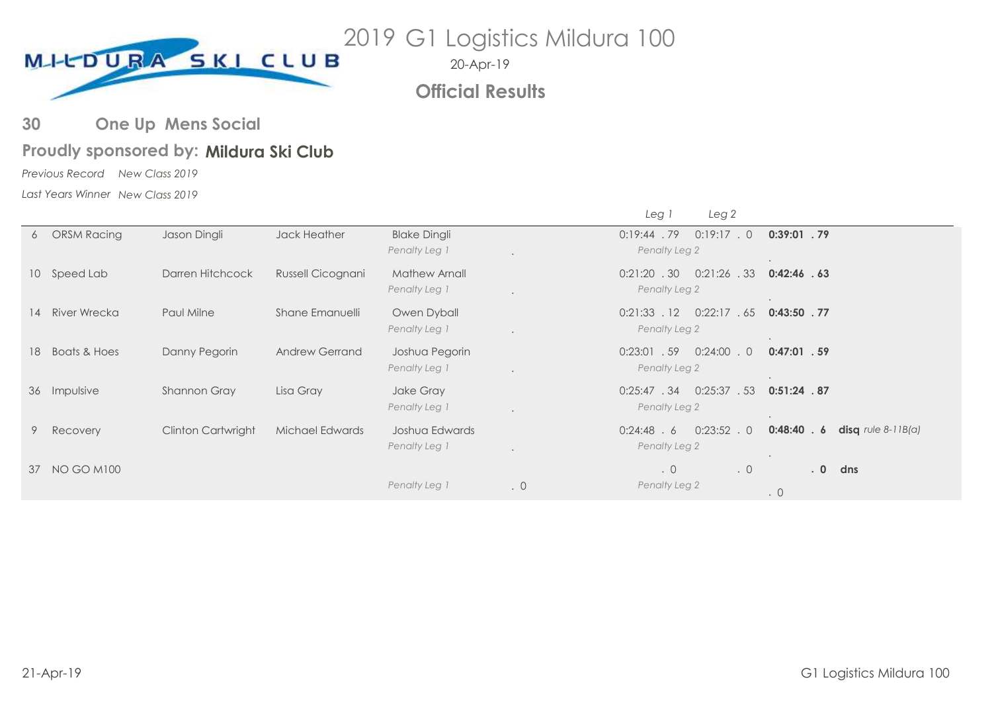

**Official Results**

#### **One Up Mens Social 30**

# Proudly sponsored by: Mildura Ski Club

*Previous Record New Class 2019*

*Last Years Winner New Class 2019*

|    |                         |                    |                       |                                      |                      | Luy 1                           | $  -$          |                             |                      |
|----|-------------------------|--------------------|-----------------------|--------------------------------------|----------------------|---------------------------------|----------------|-----------------------------|----------------------|
| 6  | <b>ORSM Racing</b>      | Jason Dingli       | Jack Heather          | <b>Blake Dingli</b><br>Penalty Leg 1 | $\ddot{\phantom{a}}$ | $0:19:44$ . 79<br>Penalty Leg 2 | 0:19:17.0      | $0:39:01$ . 79              |                      |
|    | 10 Speed Lab            | Darren Hitchcock   | Russell Cicognani     | Mathew Arnall<br>Penalty Leg 1       |                      | $0:21:20$ . 30<br>Penalty Leg 2 | $0:21:26$ . 33 | 0:42:46.63                  |                      |
|    | 14 River Wrecka         | Paul Milne         | Shane Emanuelli       | Owen Dyball<br>Penalty Leg 1         |                      | $0:21:33$ . 12<br>Penalty Leg 2 | 0:22:17.65     | $0:43:50$ . 77<br>$\bullet$ |                      |
| 18 | <b>Boats &amp; Hoes</b> | Danny Pegorin      | <b>Andrew Gerrand</b> | Joshua Pegorin<br>Penalty Leg 1      | $\ddot{\phantom{a}}$ | $0:23:01$ . 59<br>Penalty Leg 2 | $0:24:00$ . 0  | $0:47:01$ . 59<br>$\bullet$ |                      |
|    | 36 Impulsive            | Shannon Gray       | Lisa Gray             | Jake Gray<br>Penalty Leg 1           | $\ddot{\phantom{a}}$ | 0:25:47.34<br>Penalty Leg 2     | 0:25:37.53     | $0:51:24$ .87               |                      |
| 9  | Recovery                | Clinton Cartwright | Michael Edwards       | Joshua Edwards<br>Penalty Leg 1      | $\ddot{\phantom{a}}$ | $0:24:48$ . 6<br>Penalty Leg 2  | $0:23:52$ . 0  | 0:48:40.6                   | disq $rule 8-11B(a)$ |
| 37 | <b>NO GO M100</b>       |                    |                       | Penalty Leg 1                        | $\cdot$ 0            | $\cdot$ 0<br>Penalty Leg 2      | $\cdot$ 0      | .0<br>$\cdot$ 0             | dns                  |

*Leg 1 Leg 2*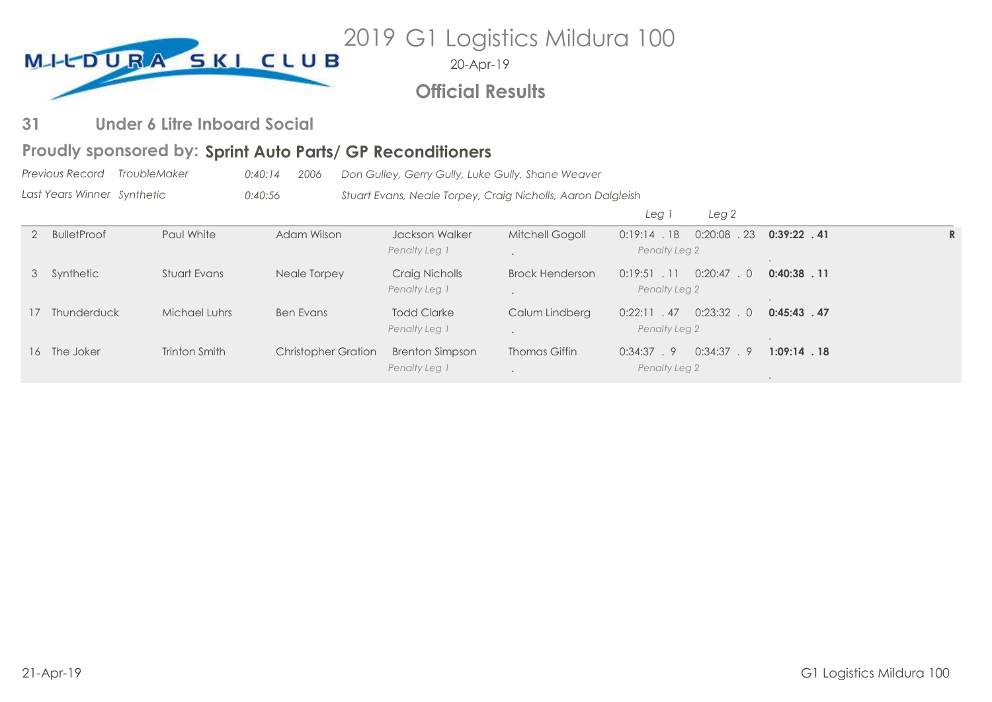

20-Apr-19

**Official Results**

#### **Under 6 Litre Inboard Social 31**

# Proudly sponsored by: Sprint Auto Parts/ GP Reconditioners

*Previous Record Last Years Winner TroubleMaker 0:40:14 2006 Don Gulley, Gerry Gully, Luke Gully, Shane Weaver Synthetic 0:40:56 Stuart Evans, Neale Torpey, Craig Nicholls, Aaron Dalgleish*

|                |               |                            |                                         |                        | Leg                             | Leg <sub>2</sub> |                |   |
|----------------|---------------|----------------------------|-----------------------------------------|------------------------|---------------------------------|------------------|----------------|---|
| 2 BulletProof  | Paul White    | Adam Wilson                | Jackson Walker<br>Penalty Leg 1         | Mitchell Gogoll        | 0:19:14.18<br>Penalty Leg 2     | 0:20:08<br>.23   | $0:39:22$ . 41 | ĸ |
| 3 Synthetic    | Stuart Evans  | Neale Torpey               | Craig Nicholls<br>Penalty Leg 1         | <b>Brock Henderson</b> | $0:19:51$ . 11<br>Penalty Leg 2 | 0:20:47<br>. 0   | $0:40:38$ . 11 |   |
| 17 Thunderduck | Michael Luhrs | <b>Ben Evans</b>           | <b>Todd Clarke</b><br>Penalty Leg 1     | Calum Lindberg         | 0:22:11.47<br>Penalty Leg 2     | $0:23:32$ . 0    | $0:45:43$ . 47 |   |
| 16 The Joker   | Trinton Smith | <b>Christopher Gration</b> | <b>Brenton Simpson</b><br>Penalty Leg 1 | Thomas Giffin          | 0:34:37.9<br>Penalty Leg 2      | 0:34:37.9        | $1:09:14$ . 18 |   |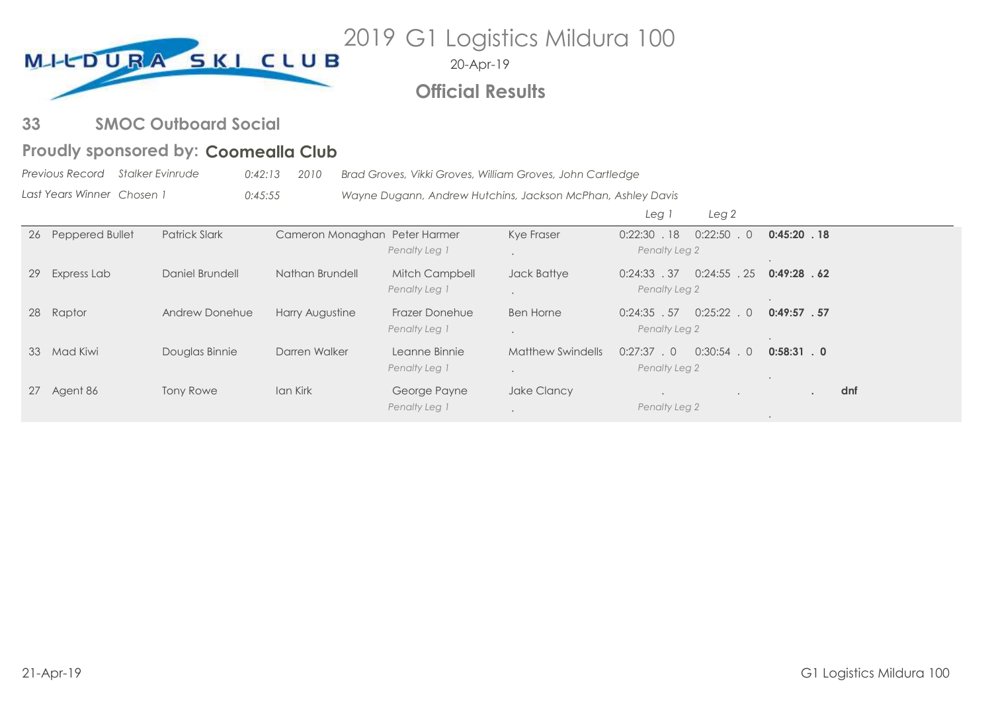

20-Apr-19

# **Official Results**

#### **SMOC Outboard Social 33**

# Proudly sponsored by: Coomealla Club

*Previous Record Last Years Winner Stalker Evinrude 0:42:13 2010 Brad Groves, Vikki Groves, William Groves, John Cartledge Chosen 1 0:45:55 Wayne Dugann, Andrew Hutchins, Jackson McPhan, Ashley Davis*

|    |                    |                      |                               |                                        |                          | Leg <sub>2</sub><br>Leg                          |                  |
|----|--------------------|----------------------|-------------------------------|----------------------------------------|--------------------------|--------------------------------------------------|------------------|
|    | 26 Peppered Bullet | <b>Patrick Slark</b> | Cameron Monaghan Peter Harmer | Penalty Leg 1                          | Kye Fraser               | $0:22:50$ . 0<br>.18<br>0:22:30<br>Penalty Leg 2 | $0:45:20$ . 18   |
| 29 | Express Lab        | Daniel Brundell      | Nathan Brundell               | <b>Mitch Campbell</b><br>Penalty Leg 1 | Jack Battye              | $0:24:55$ . 25<br>0:24:33.37<br>Penalty Leg 2    | 0:49:28.62       |
|    | 28 Raptor          | Andrew Donehue       | Harry Augustine               | <b>Frazer Donehue</b><br>Penalty Leg 1 | <b>Ben Horne</b>         | $0:25:22$ . 0<br>$0:24:35$ . 57<br>Penalty Leg 2 | 0:49:57.57       |
| 33 | Mad Kiwi           | Douglas Binnie       | Darren Walker                 | Leanne Binnie<br>Penalty Leg 1         | <b>Matthew Swindells</b> | $0:30:54$ . 0<br>$0:27:37$ . 0<br>Penalty Leg 2  | $0:58:31$ . 0    |
|    | 27 Agent 86        | <b>Tony Rowe</b>     | Ian Kirk                      | George Payne<br>Penalty Leg 1          | Jake Clancy              | Penalty Leg 2                                    | dnf<br>$\bullet$ |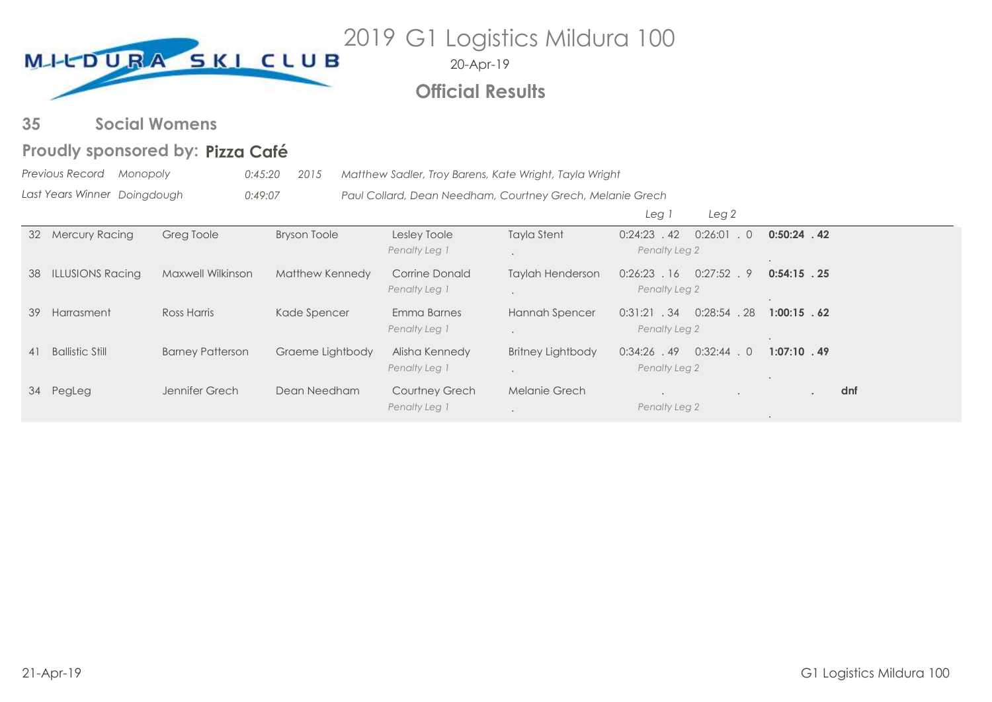

20-Apr-19

# **Official Results**

#### **Social Womens 35**

# **Pizza Café Proudly sponsored by:**

*Previous Record Monopoly 0:45:20 2015 Matthew Sadler, Troy Barens, Kate Wright, Tayla Wright*

*Last Years Winner* 0:49:07 **Paul Collard, Dean Needham, Courtney Grech, Melanie Grech** 

|    |                         |                         |                     |                       |                          | Leg 1<br>Leg <sub>2</sub>              |                |
|----|-------------------------|-------------------------|---------------------|-----------------------|--------------------------|----------------------------------------|----------------|
| 32 | <b>Mercury Racing</b>   | Greg Toole              | <b>Bryson Toole</b> | Lesley Toole          | <b>Tayla Stent</b>       | $0:24:23$ . 42<br>0:26:01<br>$\cdot$ 0 | $0:50:24$ . 42 |
|    |                         |                         |                     | Penalty Leg 1         |                          | Penalty Leg 2                          |                |
| 38 | <b>ILLUSIONS Racing</b> | Maxwell Wilkinson       | Matthew Kennedy     | Corrine Donald        | <b>Taylah Henderson</b>  | $0:26:23$ . 16<br>$0:27:52$ . 9        | $0:54:15$ . 25 |
|    |                         |                         |                     | Penalty Leg 1         |                          | Penalty Leg 2                          |                |
| 39 | Harrasment              | Ross Harris             | Kade Spencer        | Emma Barnes           | Hannah Spencer           | $0:28:54$ . 28<br>0:31:21.34           | $1:00:15$ . 62 |
|    |                         |                         |                     | Penalty Leg 1         |                          | Penalty Leg 2                          |                |
| 41 | <b>Ballistic Still</b>  | <b>Barney Patterson</b> | Graeme Lightbody    | Alisha Kennedy        | <b>Britney Lightbody</b> | $0:32:44$ . 0<br>$0:34:26$ . 49        | $1:07:10$ . 49 |
|    |                         |                         |                     | Penalty Leg 1         |                          | Penalty Leg 2                          |                |
|    | 34 PegLeg               | Jennifer Grech          | Dean Needham        | <b>Courtney Grech</b> | Melanie Grech            |                                        | dnf            |
|    |                         |                         |                     | Penalty Leg 1         |                          | Penalty Leg 2                          |                |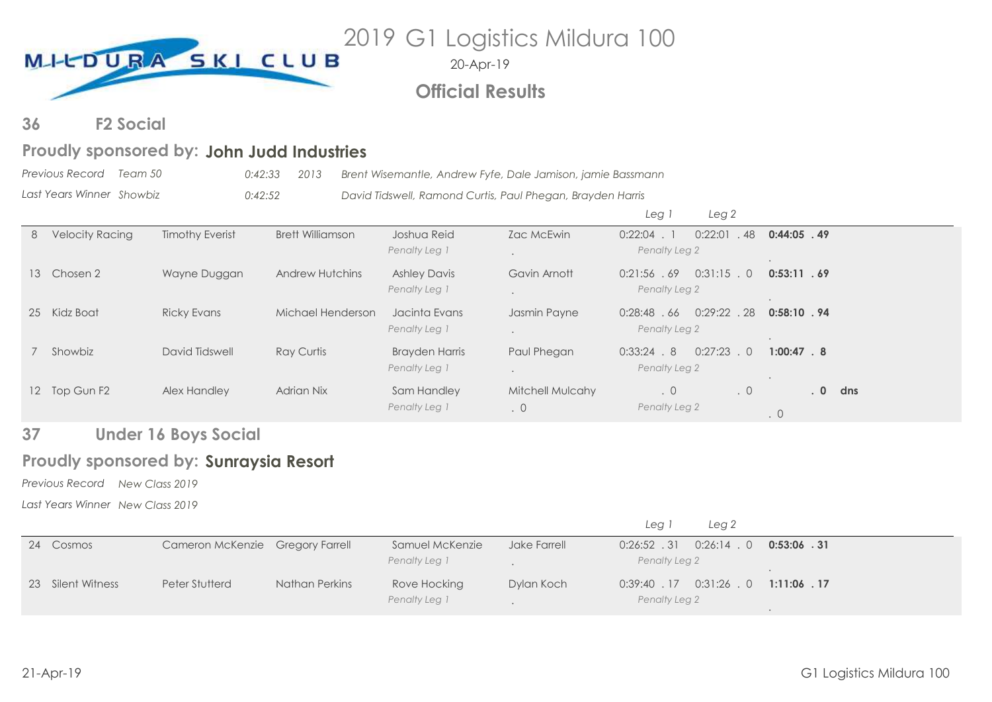

20-Apr-19

# **Official Results**

**F2 Social 36**

# Proudly sponsored by: John Judd Industries

*Previous Record Team 50 0:42:33 2013 Brent Wisemantle, Andrew Fyfe, Dale Jamison, jamie Bassmann*

*Last Years Winner Showbiz 0:42:52 David Tidswell, Ramond Curtis, Paul Phegan, Brayden Harris*

|   |                        |                        |                         |                                        |                                      | Leg i<br>Leg <sub>2</sub>                     |                            |                        |
|---|------------------------|------------------------|-------------------------|----------------------------------------|--------------------------------------|-----------------------------------------------|----------------------------|------------------------|
| 8 | <b>Velocity Racing</b> | <b>Timothy Everist</b> | <b>Brett Williamson</b> | Joshua Reid<br>Penalty Leg 1           | Zac McEwin                           | $0:22:04$ . 1<br>0:22:01<br>Penalty Leg 2     | .48<br>$0:44:05$ . 49      |                        |
|   | 13 Chosen 2            | Wayne Duggan           | <b>Andrew Hutchins</b>  | <b>Ashley Davis</b><br>Penalty Leg 1   | Gavin Arnott                         | $0:31:15$ . 0<br>0:21:56.69<br>Penalty Leg 2  | 0:53:11.69                 |                        |
|   | 25 Kidz Boat           | <b>Ricky Evans</b>     | Michael Henderson       | Jacinta Evans<br>Penalty Leg 1         | Jasmin Payne                         | $0:29:22$ . 28<br>0:28:48.66<br>Penalty Leg 2 | 0:58:10.94                 |                        |
|   | 7 Showbiz              | David Tidswell         | <b>Ray Curtis</b>       | <b>Brayden Harris</b><br>Penalty Leg 1 | Paul Phegan                          | 0:27:23<br>0:33:24.8<br>Penalty Leg 2         | $1:00:47$ . 8<br>$\cdot$ 0 |                        |
|   | 12 Top Gun F2          | Alex Handley           | <b>Adrian Nix</b>       | Sam Handley<br>Penalty Leg 1           | <b>Mitchell Mulcahy</b><br>$\cdot$ 0 | .0<br>Penalty Leg 2                           | .0<br>$\cdot$ 0            | .0 <sub>1</sub><br>dns |

#### **Under 16 Boys Social 37**

# Proudly sponsored by: Sunraysia Resort

*Previous Record New Class 2019*

*Last Years Winner New Class 2019*

|                   |                                  |                |                               |              | Leg 2<br>Leg i                                  |                |
|-------------------|----------------------------------|----------------|-------------------------------|--------------|-------------------------------------------------|----------------|
| 24 Cosmos         | Cameron McKenzie Gregory Farrell |                | Samuel McKenzie               | Jake Farrell | $0:26:52$ . 31 $0:26:14$ . 0                    | $0:53:06$ . 31 |
|                   |                                  |                | Penalty Leg 1                 |              | Penalty Leg 2                                   |                |
| 23 Silent Witness | Peter Stutterd                   | Nathan Perkins | Rove Hocking<br>Penalty Leg 1 | Dylan Koch   | $0:39:40$ $.17$ $0:31:26$ $.0$<br>Penalty Leg 2 | $1:11:06$ . 17 |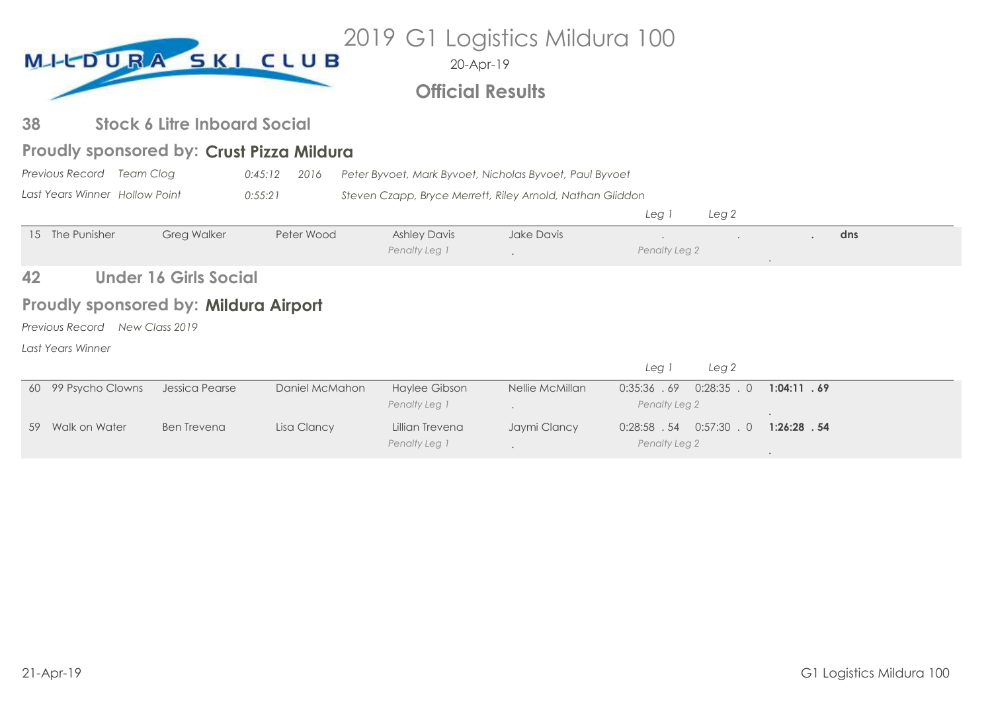| 2019 G1 Logistics Mildura 100<br>MI-CDURA SKI CLUB<br>20-Apr-19<br><b>Official Results</b> |                                              |                                     |                                           |                                       |                                                           |                                                  |                |  |  |  |
|--------------------------------------------------------------------------------------------|----------------------------------------------|-------------------------------------|-------------------------------------------|---------------------------------------|-----------------------------------------------------------|--------------------------------------------------|----------------|--|--|--|
|                                                                                            |                                              |                                     |                                           |                                       |                                                           |                                                  |                |  |  |  |
| 38                                                                                         |                                              | <b>Stock 6 Litre Inboard Social</b> |                                           |                                       |                                                           |                                                  |                |  |  |  |
|                                                                                            |                                              |                                     | Proudly sponsored by: Crust Pizza Mildura |                                       |                                                           |                                                  |                |  |  |  |
|                                                                                            | Previous Record Team Clog                    |                                     | 0:45:12<br>2016                           |                                       | Peter Byvoet, Mark Byvoet, Nicholas Byvoet, Paul Byvoet   |                                                  |                |  |  |  |
|                                                                                            | Last Years Winner Hollow Point               |                                     | 0:55:21                                   |                                       | Steven Czapp, Bryce Merrett, Riley Arnold, Nathan Gliddon |                                                  |                |  |  |  |
|                                                                                            |                                              |                                     |                                           |                                       |                                                           | Leg 1<br>Leg <sub>2</sub>                        |                |  |  |  |
|                                                                                            | 15 The Punisher                              | <b>Greg Walker</b>                  | Peter Wood                                | <b>Ashley Davis</b><br>Penalty Leg 1  | Jake Davis                                                | Penalty Leg 2                                    | dns            |  |  |  |
| 42                                                                                         |                                              | <b>Under 16 Girls Social</b>        |                                           |                                       |                                                           |                                                  |                |  |  |  |
|                                                                                            | <b>Proudly sponsored by: Mildura Airport</b> |                                     |                                           |                                       |                                                           |                                                  |                |  |  |  |
|                                                                                            | Previous Record                              | New Class 2019                      |                                           |                                       |                                                           |                                                  |                |  |  |  |
|                                                                                            | Last Years Winner                            |                                     |                                           |                                       |                                                           |                                                  |                |  |  |  |
|                                                                                            |                                              |                                     |                                           |                                       |                                                           | Leg 1<br>Leg <sub>2</sub>                        |                |  |  |  |
|                                                                                            | 60 99 Psycho Clowns                          | Jessica Pearse                      | Daniel McMahon                            | <b>Haylee Gibson</b><br>Penalty Leg 1 | Nellie McMillan                                           | 0:35:36 .69<br>$0:28:35$ . 0<br>Penalty Leg 2    | 1:04:11.69     |  |  |  |
| 59                                                                                         | Walk on Water                                | <b>Ben Trevena</b>                  | Lisa Clancy                               | Lillian Trevena<br>Penalty Leg 1      | Jaymi Clancy                                              | $0:28:58$ . 54<br>$0:57:30$ . 0<br>Penalty Leg 2 | $1:26:28$ . 54 |  |  |  |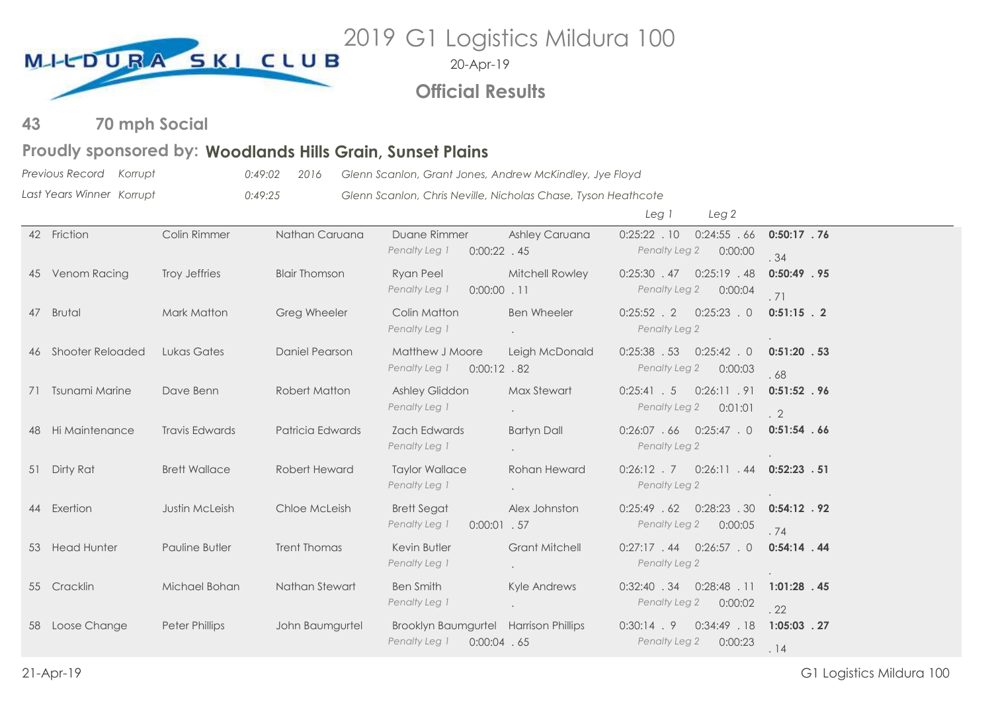

20-Apr-19

**Official Results**

#### **70 mph Social 43**

# Proudly sponsored by: Woodlands Hills Grain, Sunset Plains

*Previous Record Last Years Winner Korrupt 0:49:02 2016 Glenn Scanlon, Grant Jones, Andrew McKindley, Jye Floyd* 0:49:25 **Glenn Scanlon, Chris Neville, Nicholas Chase, Tyson Heathcote** 

|                     |                       |                      |                                                                          |                       | Leg 1<br>Leg <sub>2</sub>                                         |                                  |
|---------------------|-----------------------|----------------------|--------------------------------------------------------------------------|-----------------------|-------------------------------------------------------------------|----------------------------------|
| 42 Friction         | Colin Rimmer          | Nathan Caruana       | Duane Rimmer<br>Penalty Leg 1<br>$0:00:22$ . 45                          | <b>Ashley Caruana</b> | $0:25:22$ . 10<br>0:24:55.66<br>Penalty Leg 2<br>0:00:00          | $0:50:17$ . 76<br>. 34           |
| 45 Venom Racing     | Troy Jeffries         | <b>Blair Thomson</b> | <b>Ryan Peel</b><br>Penalty Leg 1<br>$0:00:00$ .11                       | Mitchell Rowley       | $0:25:19$ . 48<br>$0:25:30$ . 47<br>Penalty Leg 2<br>0:00:04      | $0:50:49$ . 95<br>.71            |
| 47 Brutal           | Mark Matton           | <b>Greg Wheeler</b>  | Colin Matton<br>Penalty Leg 1                                            | <b>Ben Wheeler</b>    | $0:25:23$ . 0<br>$0:25:52$ . 2<br>Penalty Leg 2                   | $0:51:15$ . 2                    |
| 46 Shooter Reloaded | Lukas Gates           | Daniel Pearson       | Matthew J Moore<br>Penalty Leg 1<br>$0:00:12$ . 82                       | Leigh McDonald        | $0:25:38$ . 53<br>$0:25:42$ . 0<br>Penalty Leg 2<br>0:00:03       | $0:51:20$ . 53<br>.68            |
| 71 Tsunami Marine   | Dave Benn             | <b>Robert Matton</b> | Ashley Gliddon<br>Penalty Leg 1                                          | Max Stewart           | 0:26:11.91<br>0:25:41.5<br>Penalty Leg 2<br>0:01:01               | $0:51:52$ . 96<br>$\overline{2}$ |
| 48 Hi Maintenance   | <b>Travis Edwards</b> | Patricia Edwards     | <b>Zach Edwards</b><br>Penalty Leg 1                                     | <b>Bartyn Dall</b>    | $0:26:07$ 66 $0:25:47$ 0<br>Penalty Leg 2                         | 0:51:54.66                       |
| 51 Dirty Rat        | <b>Brett Wallace</b>  | Robert Heward        | <b>Taylor Wallace</b><br>Penalty Leg 1                                   | Rohan Heward          | $0:26:12$ . 7<br>$0:26:11$ $.44$ $0:52:23$ $.51$<br>Penalty Leg 2 |                                  |
| 44 Exertion         | <b>Justin McLeish</b> | Chloe McLeish        | <b>Brett Segat</b><br>Penalty Leg 1<br>$0:00:01$ . 57                    | Alex Johnston         | $0:28:23$ . 30<br>0:25:49.62<br>Penalty Leg 2<br>0:00:05          | $0:54:12$ . 92<br>.74            |
| 53 Head Hunter      | <b>Pauline Butler</b> | <b>Trent Thomas</b>  | Kevin Butler<br>Penalty Leg 1                                            | <b>Grant Mitchell</b> | $0:26:57$ . 0<br>$0:27:17$ . 44<br>Penalty Leg 2                  | $0:54:14$ . 44                   |
| 55 Cracklin         | Michael Bohan         | Nathan Stewart       | <b>Ben Smith</b><br>Penalty Leg 1                                        | Kyle Andrews          | $0:28:48$ . 11<br>$0:32:40$ . 34<br>Penalty Leg 2<br>0:00:02      | $1:01:28$ . 45<br>.22            |
| 58 Loose Change     | Peter Phillips        | John Baumgurtel      | Brooklyn Baumgurtel Harrison Phillips<br>Penalty Leg 1<br>$0:00:04$ . 65 |                       | 0:34:49 .18<br>$0:30:14$ . 9<br>Penalty Leg 2<br>0:00:23          | $1:05:03$ . 27<br>.14            |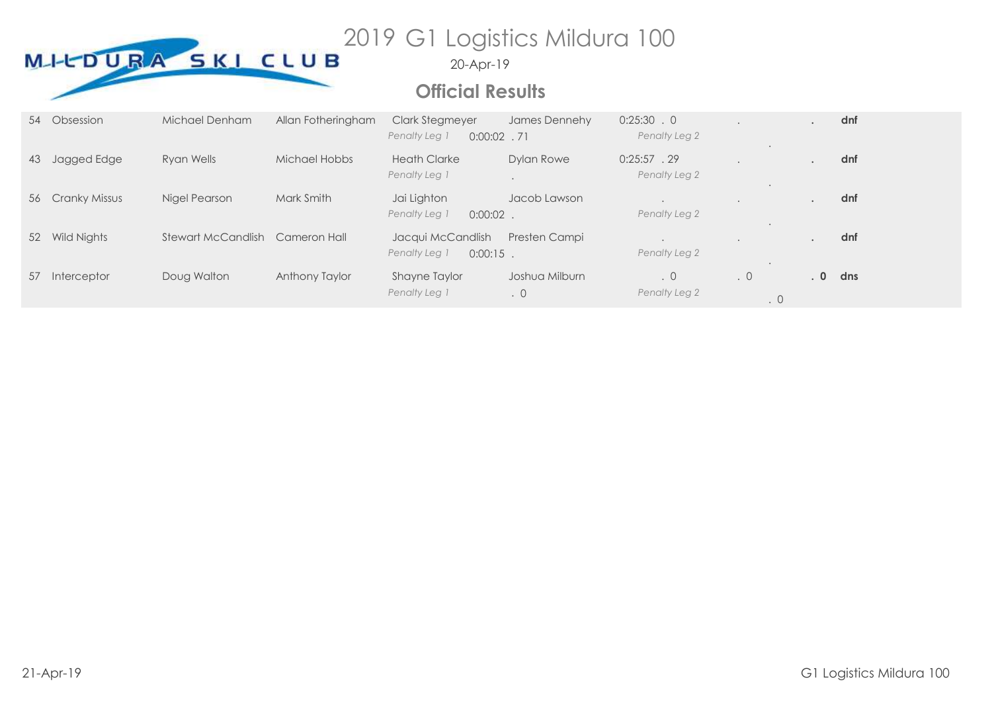

# **Official Results**

|    | 54 Obsession     | Michael Denham     | Allan Fotheringham | <b>Clark Stegmeyer</b><br>Penalty Leg 1<br>$0:00:02$ . 71 | James Dennehy               | $0:25:30$ . 0<br>Penalty Leg 2  |                        |       | dnf |
|----|------------------|--------------------|--------------------|-----------------------------------------------------------|-----------------------------|---------------------------------|------------------------|-------|-----|
| 43 | Jagged Edge      | Ryan Wells         | Michael Hobbs      | <b>Heath Clarke</b><br>Penalty Leg 1                      | Dylan Rowe                  | $0:25:57$ . 29<br>Penalty Leg 2 |                        |       | dnf |
|    | 56 Cranky Missus | Nigel Pearson      | Mark Smith         | Jai Lighton<br>Penalty Leg 1<br>0:00:02                   | Jacob Lawson                | Penalty Leg 2                   |                        |       | dnf |
| 52 | Wild Nights      | Stewart McCandlish | Cameron Hall       | Jacqui McCandlish<br>Penalty Leg 1<br>$0:00:15$ .         | Presten Campi               | Penalty Leg 2                   |                        |       | dnf |
| 57 | Interceptor      | Doug Walton        | Anthony Taylor     | Shayne Taylor<br>Penalty Leg 1                            | Joshua Milburn<br>$\cdot$ 0 | $\cdot$ 0<br>Penalty Leg 2      | $\cdot$ 0<br>$\cdot$ 0 | $.0-$ | dns |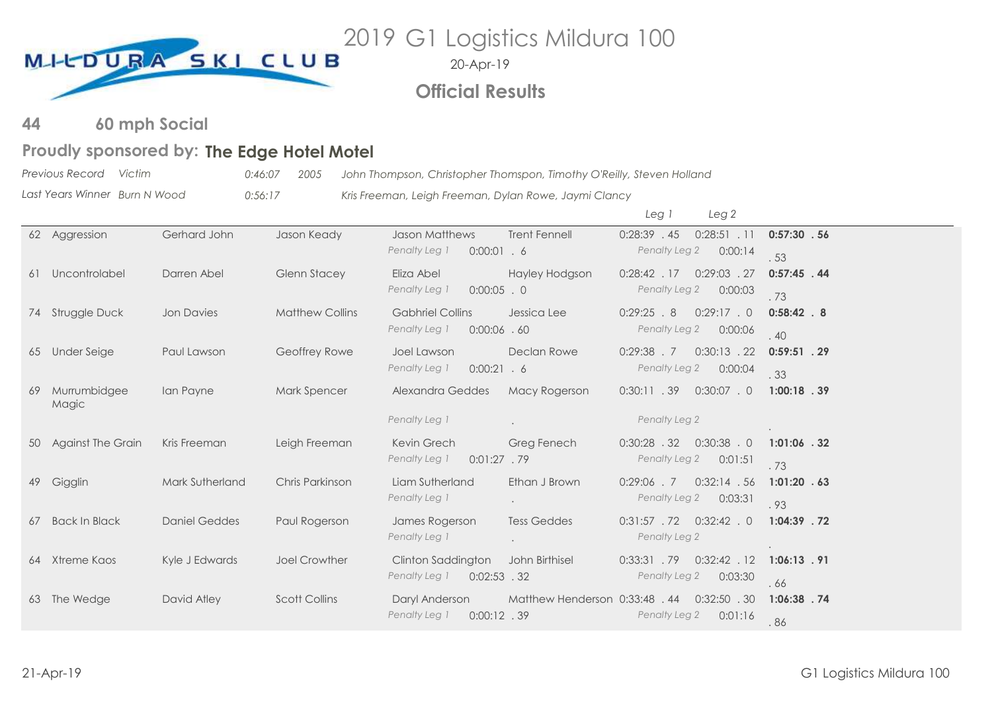

20-Apr-19

# **Official Results**

**60 mph Social 44**

# Proudly sponsored by: The Edge Hotel Motel

*Previous Record Victim 0:46:07 2005 John Thompson, Christopher Thomspon, Timothy O'Reilly, Steven Holland*

*Last Years Winner Burn N Wood 0:56:17 Kris Freeman, Leigh Freeman, Dylan Rowe, Jaymi Clancy*

|    |                       |                      |                        |                                 |                                | Leg 1          | Leg <sub>2</sub> |                |
|----|-----------------------|----------------------|------------------------|---------------------------------|--------------------------------|----------------|------------------|----------------|
|    | 62 Aggression         | Gerhard John         | Jason Keady            | <b>Jason Matthews</b>           | <b>Trent Fennell</b>           | $0:28:39$ . 45 | $0:28:51$ . 11   | 0:57:30.56     |
|    |                       |                      |                        | Penalty Leg 1<br>$0:00:01$ . 6  |                                | Penalty Leg 2  | 0:00:14          | .53            |
| 61 | Uncontrolabel         | Darren Abel          | <b>Glenn Stacey</b>    | Eliza Abel                      | Hayley Hodgson                 | $0:28:42$ . 17 | $0:29:03$ . 27   | $0:57:45$ .44  |
|    |                       |                      |                        | Penalty Leg 1<br>$0:00:05$ . 0  |                                | Penalty Leg 2  | 0:00:03          | .73            |
|    | 74 Struggle Duck      | <b>Jon Davies</b>    | <b>Matthew Collins</b> | <b>Gabhriel Collins</b>         | Jessica Lee                    | 0:29:25.8      | 0:29:17.0        | $0:58:42$ . 8  |
|    |                       |                      |                        | Penalty Leg 1<br>$0:00:06$ . 60 |                                | Penalty Leg 2  | 0:00:06          | .40            |
| 65 | <b>Under Seige</b>    | Paul Lawson          | Geoffrey Rowe          | Joel Lawson                     | Declan Rowe                    | $0:29:38$ . 7  | $0:30:13$ . 22   | $0:59:51$ . 29 |
|    |                       |                      |                        | Penalty Leg 1<br>0:00:21.6      |                                | Penalty Leg 2  | 0:00:04          | . 33           |
| 69 | Murrumbidgee<br>Magic | Ian Payne            | <b>Mark Spencer</b>    | Alexandra Geddes                | Macy Rogerson                  | $0:30:11$ . 39 | $0:30:07$ . 0    | $1:00:18$ . 39 |
|    |                       |                      |                        | Penalty Leg 1                   | $\bullet$                      | Penalty Leg 2  |                  |                |
|    | 50 Against The Grain  | Kris Freeman         | Leigh Freeman          | Kevin Grech                     | Greg Fenech                    | $0:30:28$ . 32 | $0:30:38$ . 0    | $1:01:06$ . 32 |
|    |                       |                      |                        | Penalty Leg 1<br>$0:01:27$ . 79 |                                | Penalty Leg 2  | 0:01:51          | .73            |
| 49 | Gigglin               | Mark Sutherland      | Chris Parkinson        | Liam Sutherland                 | Ethan J Brown                  | $0:29:06$ . 7  | 0:32:14.56       | $1:01:20$ . 63 |
|    |                       |                      |                        | Penalty Leg 1                   | $\bullet$                      | Penalty Leg 2  | 0:03:31          | .93            |
| 67 | <b>Back In Black</b>  | <b>Daniel Geddes</b> | Paul Rogerson          | James Rogerson                  | <b>Tess Geddes</b>             | $0:31:57$ . 72 | $0:32:42$ . 0    | $1:04:39$ . 72 |
|    |                       |                      |                        | Penalty Leg 1                   |                                | Penalty Leg 2  |                  |                |
| 64 | Xtreme Kaos           | Kyle J Edwards       | Joel Crowther          | Clinton Saddington              | John Birthisel                 | $0:33:31$ . 79 | $0:32:42$ . 12   | $1:06:13$ . 91 |
|    |                       |                      |                        | Penalty Leg 1<br>$0:02:53$ . 32 |                                | Penalty Leg 2  | 0:03:30          | .66            |
|    | 63 The Wedge          | David Atley          | <b>Scott Collins</b>   | Daryl Anderson                  | Matthew Henderson 0:33:48 . 44 |                | $0:32:50$ . 30   | $1:06:38$ . 74 |
|    |                       |                      |                        | $0:00:12$ . 39<br>Penalty Leg 1 |                                | Penalty Leg 2  | 0:01:16          | .86            |